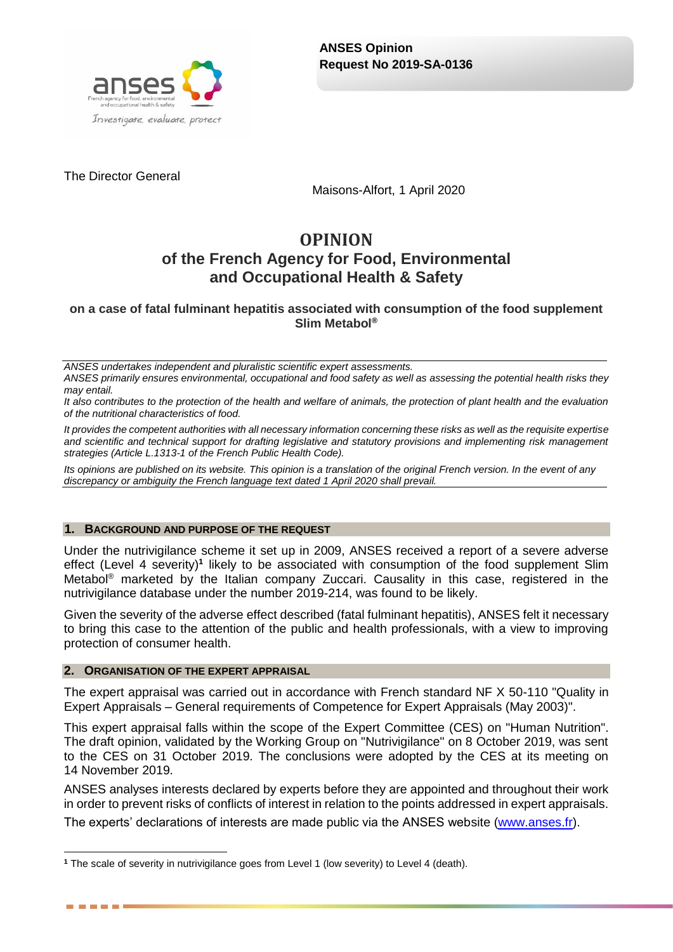

The Director General

Maisons-Alfort, 1 April 2020

# **OPINION of the French Agency for Food, Environmental and Occupational Health & Safety**

**on a case of fatal fulminant hepatitis associated with consumption of the food supplement Slim Metabol®**

*ANSES undertakes independent and pluralistic scientific expert assessments. ANSES primarily ensures environmental, occupational and food safety as well as assessing the potential health risks they may entail.*

*It also contributes to the protection of the health and welfare of animals, the protection of plant health and the evaluation of the nutritional characteristics of food.*

*It provides the competent authorities with all necessary information concerning these risks as well as the requisite expertise and scientific and technical support for drafting legislative and statutory provisions and implementing risk management strategies (Article L.1313-1 of the French Public Health Code).* 

*Its opinions are published on its website. This opinion is a translation of the original French version. In the event of any discrepancy or ambiguity the French language text dated 1 April 2020 shall prevail.*

### **1. BACKGROUND AND PURPOSE OF THE REQUEST**

Under the nutrivigilance scheme it set up in 2009, ANSES received a report of a severe adverse effect (Level 4 severity)<sup>1</sup> likely to be associated with consumption of the food supplement Slim Metabol® marketed by the Italian company Zuccari. Causality in this case, registered in the nutrivigilance database under the number 2019-214, was found to be likely.

Given the severity of the adverse effect described (fatal fulminant hepatitis), ANSES felt it necessary to bring this case to the attention of the public and health professionals, with a view to improving protection of consumer health.

### **2. ORGANISATION OF THE EXPERT APPRAISAL**

------

The expert appraisal was carried out in accordance with French standard NF X 50-110 "Quality in Expert Appraisals – General requirements of Competence for Expert Appraisals (May 2003)".

This expert appraisal falls within the scope of the Expert Committee (CES) on "Human Nutrition". The draft opinion, validated by the Working Group on "Nutrivigilance" on 8 October 2019, was sent to the CES on 31 October 2019. The conclusions were adopted by the CES at its meeting on 14 November 2019.

ANSES analyses interests declared by experts before they are appointed and throughout their work in order to prevent risks of conflicts of interest in relation to the points addressed in expert appraisals.

The experts' declarations of interests are made public via the ANSES website [\(www.anses.fr\)](http://www.anses.fr/).

<sup>1</sup> **<sup>1</sup>** The scale of severity in nutrivigilance goes from Level 1 (low severity) to Level 4 (death).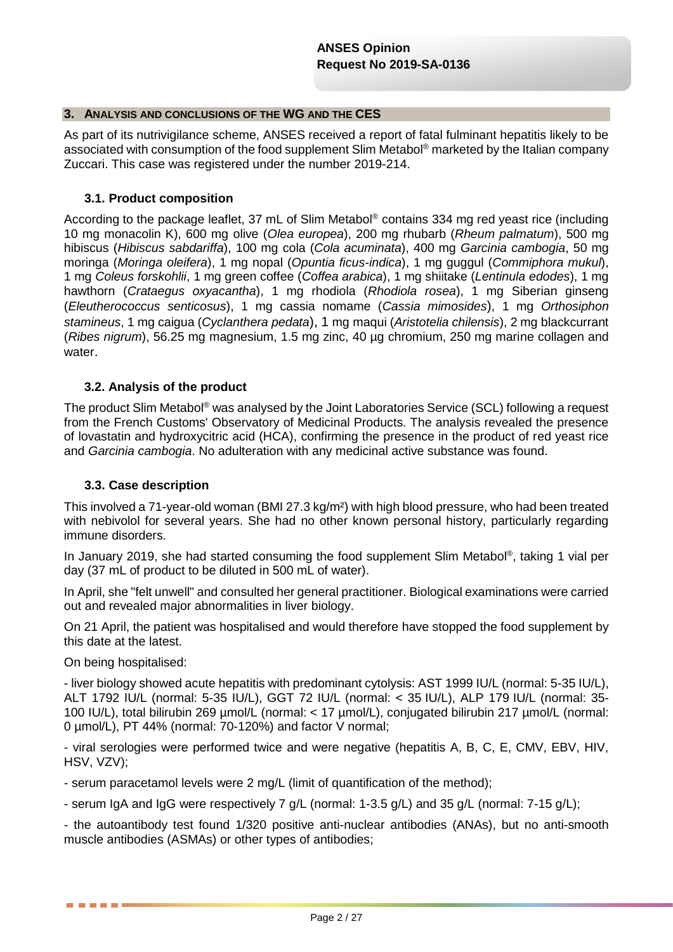### **3. ANALYSIS AND CONCLUSIONS OF THE WG AND THE CES**

As part of its nutrivigilance scheme, ANSES received a report of fatal fulminant hepatitis likely to be associated with consumption of the food supplement Slim Metabol<sup>®</sup> marketed by the Italian company Zuccari. This case was registered under the number 2019-214.

### **3.1. Product composition**

According to the package leaflet, 37 mL of Slim Metabol® contains 334 mg red yeast rice (including 10 mg monacolin K), 600 mg olive (*Olea europea*), 200 mg rhubarb (*Rheum palmatum*), 500 mg hibiscus (*Hibiscus sabdariffa*), 100 mg cola (*Cola acuminata*), 400 mg *Garcinia cambogia*, 50 mg moringa (*Moringa oleifera*), 1 mg nopal (*Opuntia ficus-indica*), 1 mg guggul (*Commiphora mukul*), 1 mg *Coleus forskohlii*, 1 mg green coffee (*Coffea arabica*), 1 mg shiitake (*Lentinula edodes*), 1 mg hawthorn (*Crataegus oxyacantha*), 1 mg rhodiola (*Rhodiola rosea*), 1 mg Siberian ginseng (*Eleutherococcus senticosus*), 1 mg cassia nomame (*Cassia mimosides*), 1 mg *Orthosiphon stamineus*, 1 mg caigua (*Cyclanthera pedata*), 1 mg maqui (*Aristotelia chilensis*), 2 mg blackcurrant (*Ribes nigrum*), 56.25 mg magnesium, 1.5 mg zinc, 40 µg chromium, 250 mg marine collagen and water.

### **3.2. Analysis of the product**

The product Slim Metabol<sup>®</sup> was analysed by the Joint Laboratories Service (SCL) following a request from the French Customs' Observatory of Medicinal Products. The analysis revealed the presence of lovastatin and hydroxycitric acid (HCA), confirming the presence in the product of red yeast rice and *Garcinia cambogia*. No adulteration with any medicinal active substance was found.

### **3.3. Case description**

This involved a 71-year-old woman (BMI 27.3 kg/m²) with high blood pressure, who had been treated with nebivolol for several years. She had no other known personal history, particularly regarding immune disorders.

In January 2019, she had started consuming the food supplement Slim Metabol® , taking 1 vial per day (37 mL of product to be diluted in 500 mL of water).

In April, she "felt unwell" and consulted her general practitioner. Biological examinations were carried out and revealed major abnormalities in liver biology.

On 21 April, the patient was hospitalised and would therefore have stopped the food supplement by this date at the latest.

On being hospitalised:

. . . .

- liver biology showed acute hepatitis with predominant cytolysis: AST 1999 IU/L (normal: 5-35 IU/L), ALT 1792 IU/L (normal: 5-35 IU/L), GGT 72 IU/L (normal: < 35 IU/L), ALP 179 IU/L (normal: 35- 100 IU/L), total bilirubin 269 µmol/L (normal: < 17 µmol/L), conjugated bilirubin 217 µmol/L (normal: 0 µmol/L), PT 44% (normal: 70-120%) and factor V normal;

- viral serologies were performed twice and were negative (hepatitis A, B, C, E, CMV, EBV, HIV, HSV, VZV);

- serum paracetamol levels were 2 mg/L (limit of quantification of the method);

- serum IgA and IgG were respectively 7 g/L (normal: 1-3.5 g/L) and 35 g/L (normal: 7-15 g/L);

- the autoantibody test found 1/320 positive anti-nuclear antibodies (ANAs), but no anti-smooth muscle antibodies (ASMAs) or other types of antibodies;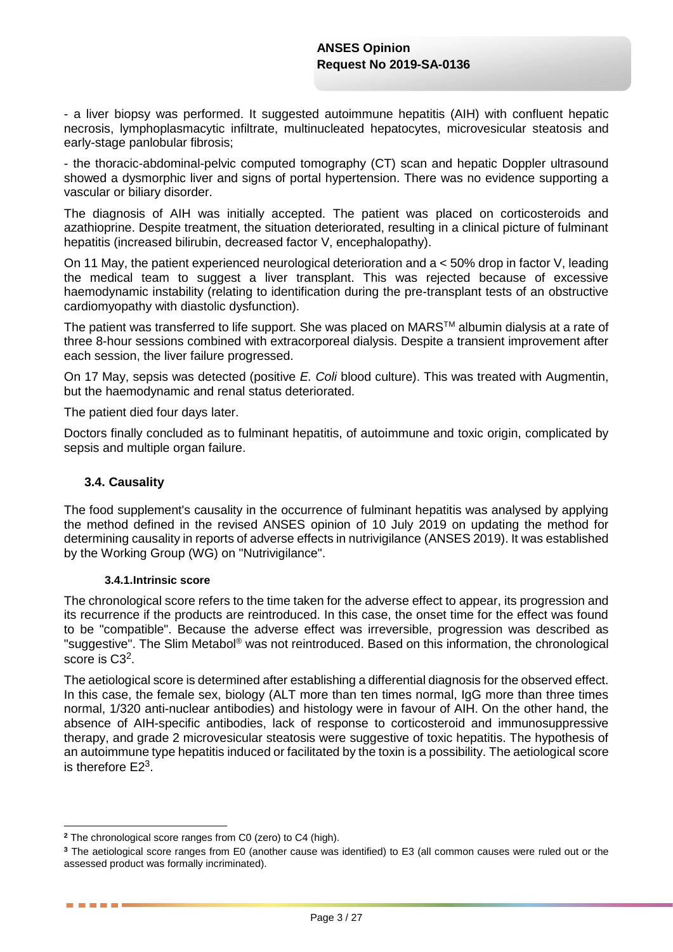- a liver biopsy was performed. It suggested autoimmune hepatitis (AIH) with confluent hepatic necrosis, lymphoplasmacytic infiltrate, multinucleated hepatocytes, microvesicular steatosis and early-stage panlobular fibrosis;

- the thoracic-abdominal-pelvic computed tomography (CT) scan and hepatic Doppler ultrasound showed a dysmorphic liver and signs of portal hypertension. There was no evidence supporting a vascular or biliary disorder.

The diagnosis of AIH was initially accepted. The patient was placed on corticosteroids and azathioprine. Despite treatment, the situation deteriorated, resulting in a clinical picture of fulminant hepatitis (increased bilirubin, decreased factor V, encephalopathy).

On 11 May, the patient experienced neurological deterioration and a < 50% drop in factor V, leading the medical team to suggest a liver transplant. This was rejected because of excessive haemodynamic instability (relating to identification during the pre-transplant tests of an obstructive cardiomyopathy with diastolic dysfunction).

The patient was transferred to life support. She was placed on MARS™ albumin dialysis at a rate of three 8-hour sessions combined with extracorporeal dialysis. Despite a transient improvement after each session, the liver failure progressed.

On 17 May, sepsis was detected (positive *E. Coli* blood culture). This was treated with Augmentin, but the haemodynamic and renal status deteriorated.

The patient died four days later.

Doctors finally concluded as to fulminant hepatitis, of autoimmune and toxic origin, complicated by sepsis and multiple organ failure.

### **3.4. Causality**

1

. . . .

The food supplement's causality in the occurrence of fulminant hepatitis was analysed by applying the method defined in the revised ANSES opinion of 10 July 2019 on updating the method for determining causality in reports of adverse effects in nutrivigilance (ANSES 2019). It was established by the Working Group (WG) on "Nutrivigilance".

### **3.4.1.Intrinsic score**

The chronological score refers to the time taken for the adverse effect to appear, its progression and its recurrence if the products are reintroduced. In this case, the onset time for the effect was found to be "compatible". Because the adverse effect was irreversible, progression was described as "suggestive". The Slim Metabol® was not reintroduced. Based on this information, the chronological score is C3<sup>2</sup>.

The aetiological score is determined after establishing a differential diagnosis for the observed effect. In this case, the female sex, biology (ALT more than ten times normal, IgG more than three times normal, 1/320 anti-nuclear antibodies) and histology were in favour of AIH. On the other hand, the absence of AIH-specific antibodies, lack of response to corticosteroid and immunosuppressive therapy, and grade 2 microvesicular steatosis were suggestive of toxic hepatitis. The hypothesis of an autoimmune type hepatitis induced or facilitated by the toxin is a possibility. The aetiological score is therefore  $E2<sup>3</sup>$ .

**<sup>2</sup>** The chronological score ranges from C0 (zero) to C4 (high).

**<sup>3</sup>** The aetiological score ranges from E0 (another cause was identified) to E3 (all common causes were ruled out or the assessed product was formally incriminated).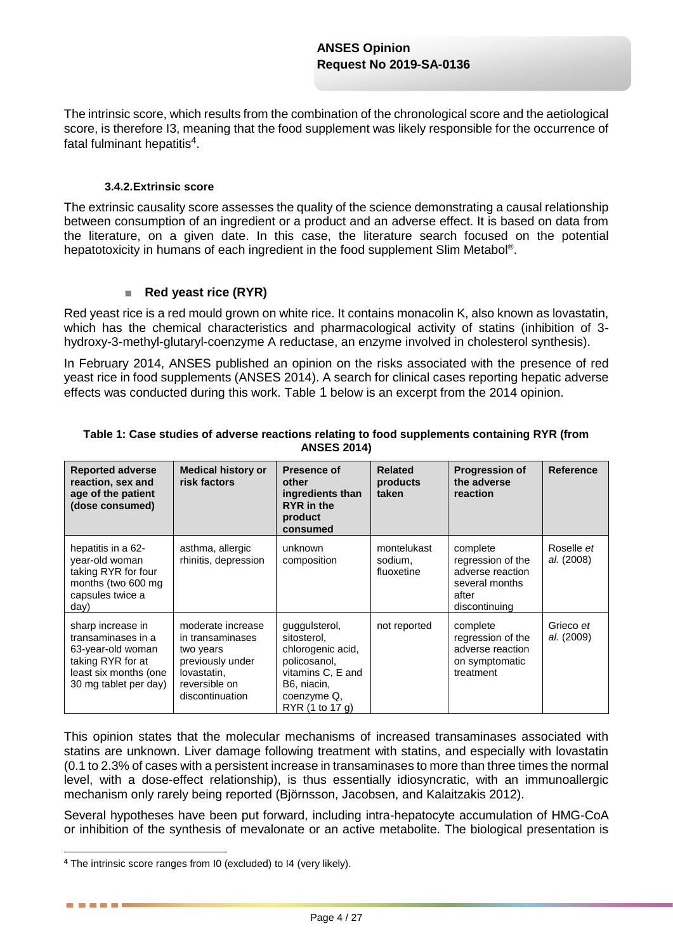The intrinsic score, which results from the combination of the chronological score and the aetiological score, is therefore I3, meaning that the food supplement was likely responsible for the occurrence of fatal fulminant hepatitis<sup>4</sup>.

### **3.4.2.Extrinsic score**

The extrinsic causality score assesses the quality of the science demonstrating a causal relationship between consumption of an ingredient or a product and an adverse effect. It is based on data from the literature, on a given date. In this case, the literature search focused on the potential hepatotoxicity in humans of each ingredient in the food supplement Slim Metabol®.

### ■ **Red yeast rice (RYR)**

Red yeast rice is a red mould grown on white rice. It contains monacolin K, also known as lovastatin, which has the chemical characteristics and pharmacological activity of statins (inhibition of 3 hydroxy-3-methyl-glutaryl-coenzyme A reductase, an enzyme involved in cholesterol synthesis).

In February 2014, ANSES published an opinion on the risks associated with the presence of red yeast rice in food supplements (ANSES 2014). A search for clinical cases reporting hepatic adverse effects was conducted during this work. [Table](#page-3-0) 1 below is an excerpt from the 2014 opinion.

| <b>Reported adverse</b><br>reaction, sex and<br>age of the patient<br>(dose consumed)                                               | <b>Medical history or</b><br>risk factors                                                                                 | <b>Presence of</b><br>other<br>ingredients than<br><b>RYR</b> in the<br>product<br>consumed                                             | <b>Related</b><br>products<br>taken  | <b>Progression of</b><br>the adverse<br>reaction                                              | <b>Reference</b>         |
|-------------------------------------------------------------------------------------------------------------------------------------|---------------------------------------------------------------------------------------------------------------------------|-----------------------------------------------------------------------------------------------------------------------------------------|--------------------------------------|-----------------------------------------------------------------------------------------------|--------------------------|
| hepatitis in a 62-<br>year-old woman<br>taking RYR for four<br>months (two 600 mg<br>capsules twice a<br>day)                       | asthma, allergic<br>rhinitis, depression                                                                                  | unknown<br>composition                                                                                                                  | montelukast<br>sodium,<br>fluoxetine | complete<br>regression of the<br>adverse reaction<br>several months<br>after<br>discontinuing | Roselle et<br>al. (2008) |
| sharp increase in<br>transaminases in a<br>63-year-old woman<br>taking RYR for at<br>least six months (one<br>30 mg tablet per day) | moderate increase<br>in transaminases<br>two years<br>previously under<br>lovastatin,<br>reversible on<br>discontinuation | guggulsterol,<br>sitosterol,<br>chlorogenic acid,<br>policosanol,<br>vitamins C, E and<br>B6, niacin,<br>coenzyme Q,<br>RYR (1 to 17 g) | not reported                         | complete<br>regression of the<br>adverse reaction<br>on symptomatic<br>treatment              | Grieco et<br>al. (2009)  |

### <span id="page-3-0"></span>**Table 1: Case studies of adverse reactions relating to food supplements containing RYR (from ANSES 2014)**

This opinion states that the molecular mechanisms of increased transaminases associated with statins are unknown. Liver damage following treatment with statins, and especially with lovastatin (0.1 to 2.3% of cases with a persistent increase in transaminases to more than three times the normal level, with a dose-effect relationship), is thus essentially idiosyncratic, with an immunoallergic mechanism only rarely being reported (Björnsson, Jacobsen, and Kalaitzakis 2012).

Several hypotheses have been put forward, including intra-hepatocyte accumulation of HMG-CoA or inhibition of the synthesis of mevalonate or an active metabolite. The biological presentation is

<sup>1</sup> **<sup>4</sup>** The intrinsic score ranges from I0 (excluded) to I4 (very likely).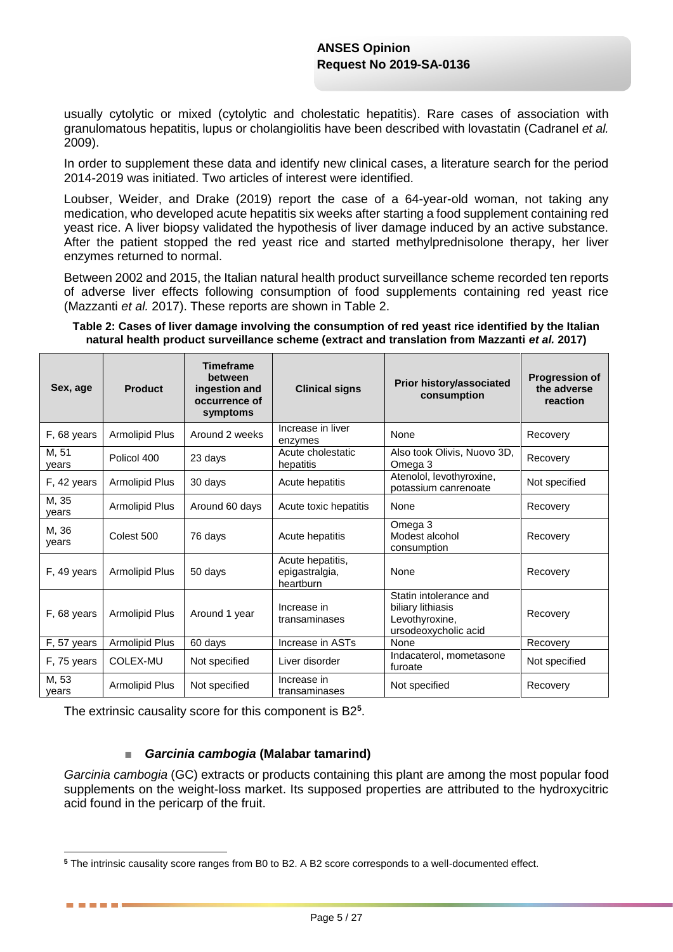usually cytolytic or mixed (cytolytic and cholestatic hepatitis). Rare cases of association with granulomatous hepatitis, lupus or cholangiolitis have been described with lovastatin (Cadranel *et al.* 2009).

In order to supplement these data and identify new clinical cases, a literature search for the period 2014-2019 was initiated. Two articles of interest were identified.

Loubser, Weider, and Drake (2019) report the case of a 64-year-old woman, not taking any medication, who developed acute hepatitis six weeks after starting a food supplement containing red yeast rice. A liver biopsy validated the hypothesis of liver damage induced by an active substance. After the patient stopped the red yeast rice and started methylprednisolone therapy, her liver enzymes returned to normal.

Between 2002 and 2015, the Italian natural health product surveillance scheme recorded ten reports of adverse liver effects following consumption of food supplements containing red yeast rice (Mazzanti *et al.* 2017). These reports are shown in [Table 2.](#page-4-0)

#### <span id="page-4-0"></span>**Table 2: Cases of liver damage involving the consumption of red yeast rice identified by the Italian natural health product surveillance scheme (extract and translation from Mazzanti** *et al.* **2017)**

| Sex, age       | <b>Product</b>        | <b>Timeframe</b><br>between<br>ingestion and<br>occurrence of<br>symptoms | <b>Clinical signs</b>                           | Prior history/associated<br>consumption                                               | <b>Progression of</b><br>the adverse<br>reaction |
|----------------|-----------------------|---------------------------------------------------------------------------|-------------------------------------------------|---------------------------------------------------------------------------------------|--------------------------------------------------|
| F, 68 years    | Armolipid Plus        | Around 2 weeks                                                            | Increase in liver<br>enzymes                    | None                                                                                  | Recovery                                         |
| M, 51<br>vears | Policol 400           | 23 days                                                                   | Acute cholestatic<br>hepatitis                  | Also took Olivis, Nuovo 3D,<br>Omega 3                                                | Recovery                                         |
| F, 42 years    | Armolipid Plus        | 30 days                                                                   | Acute hepatitis                                 | Atenolol, levothyroxine,<br>potassium canrenoate                                      | Not specified                                    |
| M, 35<br>vears | Armolipid Plus        | Around 60 days                                                            | Acute toxic hepatitis                           | None                                                                                  | Recovery                                         |
| M, 36<br>years | Colest 500            | 76 days                                                                   | Acute hepatitis                                 | Omega 3<br>Modest alcohol<br>consumption                                              | Recovery                                         |
| F, 49 years    | Armolipid Plus        | 50 days                                                                   | Acute hepatitis,<br>epigastralgia,<br>heartburn | None                                                                                  | Recovery                                         |
| F, 68 years    | Armolipid Plus        | Around 1 year                                                             | Increase in<br>transaminases                    | Statin intolerance and<br>biliary lithiasis<br>Levothyroxine,<br>ursodeoxycholic acid | Recovery                                         |
| F, 57 years    | Armolipid Plus        | 60 days                                                                   | Increase in ASTs                                | None                                                                                  | Recovery                                         |
| F, 75 years    | COLEX-MU              | Not specified                                                             | Liver disorder                                  | Indacaterol, mometasone<br>furoate                                                    | Not specified                                    |
| M, 53<br>years | <b>Armolipid Plus</b> | Not specified                                                             | Increase in<br>transaminases                    | Not specified                                                                         | Recovery                                         |

The extrinsic causality score for this component is B2**<sup>5</sup>** .

1

. . . . . .

### ■ *Garcinia cambogia* **(Malabar tamarind)**

*Garcinia cambogia* (GC) extracts or products containing this plant are among the most popular food supplements on the weight-loss market. Its supposed properties are attributed to the hydroxycitric acid found in the pericarp of the fruit.

**<sup>5</sup>** The intrinsic causality score ranges from B0 to B2. A B2 score corresponds to a well-documented effect.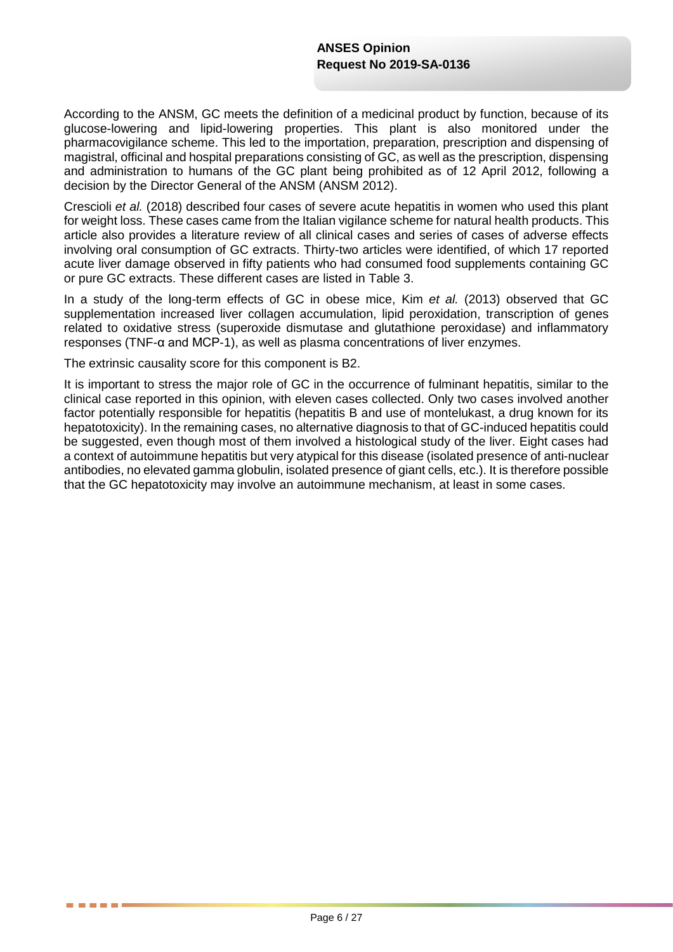According to the ANSM, GC meets the definition of a medicinal product by function, because of its glucose-lowering and lipid-lowering properties. This plant is also monitored under the pharmacovigilance scheme. This led to the importation, preparation, prescription and dispensing of magistral, officinal and hospital preparations consisting of GC, as well as the prescription, dispensing and administration to humans of the GC plant being prohibited as of 12 April 2012, following a decision by the Director General of the ANSM (ANSM 2012).

Crescioli *et al.* (2018) described four cases of severe acute hepatitis in women who used this plant for weight loss. These cases came from the Italian vigilance scheme for natural health products. This article also provides a literature review of all clinical cases and series of cases of adverse effects involving oral consumption of GC extracts. Thirty-two articles were identified, of which 17 reported acute liver damage observed in fifty patients who had consumed food supplements containing GC or pure GC extracts. These different cases are listed in [Table 3.](#page-6-0)

In a study of the long-term effects of GC in obese mice, Kim *et al.* (2013) observed that GC supplementation increased liver collagen accumulation, lipid peroxidation, transcription of genes related to oxidative stress (superoxide dismutase and glutathione peroxidase) and inflammatory responses (TNF-α and MCP-1), as well as plasma concentrations of liver enzymes.

The extrinsic causality score for this component is B2.

**. . . .** 

It is important to stress the major role of GC in the occurrence of fulminant hepatitis, similar to the clinical case reported in this opinion, with eleven cases collected. Only two cases involved another factor potentially responsible for hepatitis (hepatitis B and use of montelukast, a drug known for its hepatotoxicity). In the remaining cases, no alternative diagnosis to that of GC-induced hepatitis could be suggested, even though most of them involved a histological study of the liver. Eight cases had a context of autoimmune hepatitis but very atypical for this disease (isolated presence of anti-nuclear antibodies, no elevated gamma globulin, isolated presence of giant cells, etc.). It is therefore possible that the GC hepatotoxicity may involve an autoimmune mechanism, at least in some cases.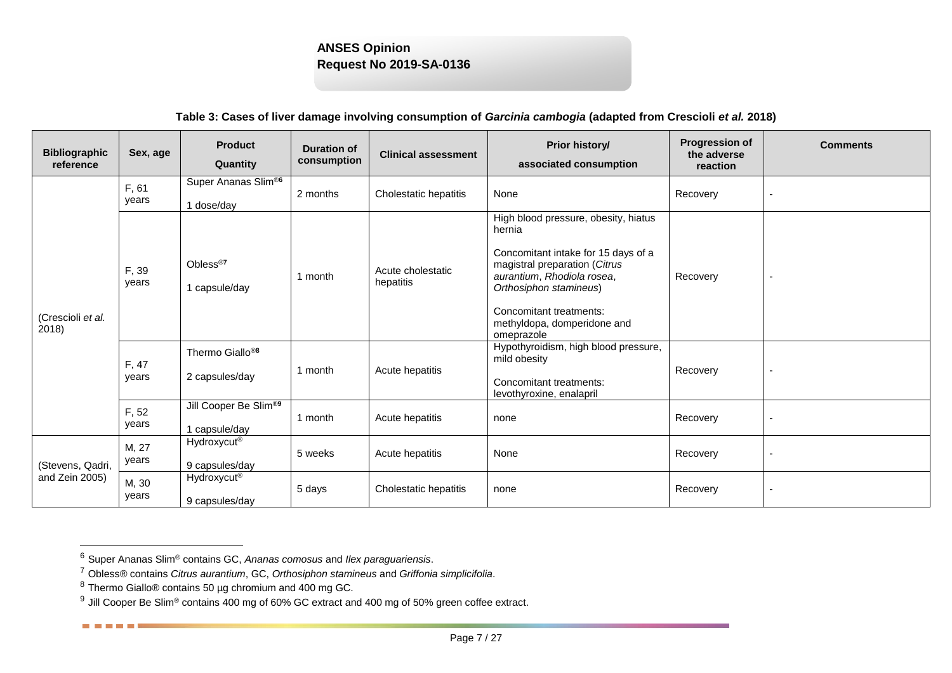| <b>Bibliographic</b><br>reference | Sex, age       | <b>Product</b><br>Quantity                    | <b>Duration of</b><br>consumption | <b>Clinical assessment</b>     | Prior history/<br>associated consumption                                                                                                                                                                                                               | <b>Progression of</b><br>the adverse<br>reaction | <b>Comments</b> |
|-----------------------------------|----------------|-----------------------------------------------|-----------------------------------|--------------------------------|--------------------------------------------------------------------------------------------------------------------------------------------------------------------------------------------------------------------------------------------------------|--------------------------------------------------|-----------------|
|                                   | F, 61<br>years | Super Ananas Slim®<br>1 dose/day              | 2 months                          | Cholestatic hepatitis          | None                                                                                                                                                                                                                                                   | Recovery                                         |                 |
| (Crescioli et al.<br>2018)        | F, 39<br>years | Obless <sup>®7</sup><br>1 capsule/day         | 1 month                           | Acute cholestatic<br>hepatitis | High blood pressure, obesity, hiatus<br>hernia<br>Concomitant intake for 15 days of a<br>magistral preparation (Citrus<br>aurantium, Rhodiola rosea,<br>Orthosiphon stamineus)<br>Concomitant treatments:<br>methyldopa, domperidone and<br>omeprazole | Recovery                                         |                 |
|                                   | F, 47<br>years | Thermo Giallo <sup>®8</sup><br>2 capsules/day | 1 month                           | Acute hepatitis                | Hypothyroidism, high blood pressure,<br>mild obesity<br>Concomitant treatments:<br>levothyroxine, enalapril                                                                                                                                            | Recovery                                         |                 |
|                                   | F, 52<br>years | Jill Cooper Be Slim®<br>1 capsule/day         | 1 month                           | Acute hepatitis                | none                                                                                                                                                                                                                                                   | Recovery                                         |                 |
| (Stevens, Qadri,                  | M, 27<br>years | Hydroxycut <sup>®</sup><br>9 capsules/day     | 5 weeks                           | Acute hepatitis                | None                                                                                                                                                                                                                                                   | Recovery                                         |                 |
| and Zein 2005)                    | M, 30<br>vears | Hydroxycut <sup>®</sup><br>9 capsules/day     | 5 days                            | Cholestatic hepatitis          | none                                                                                                                                                                                                                                                   | Recovery                                         |                 |

### **Table 3: Cases of liver damage involving consumption of** *Garcinia cambogia* **(adapted from Crescioli** *et al.* **2018)**

<span id="page-6-0"></span>l

. . . . .

<sup>6</sup> Super Ananas Slim® contains GC, *Ananas comosus* and *Ilex paraguariensis*.

<sup>7</sup> Obless® contains *Citrus aurantium*, GC, *Orthosiphon stamineus* and *Griffonia simplicifolia*.

<sup>8</sup> Thermo Giallo® contains 50 µg chromium and 400 mg GC.

 $^9$  Jill Cooper Be Slim® contains 400 mg of 60% GC extract and 400 mg of 50% green coffee extract.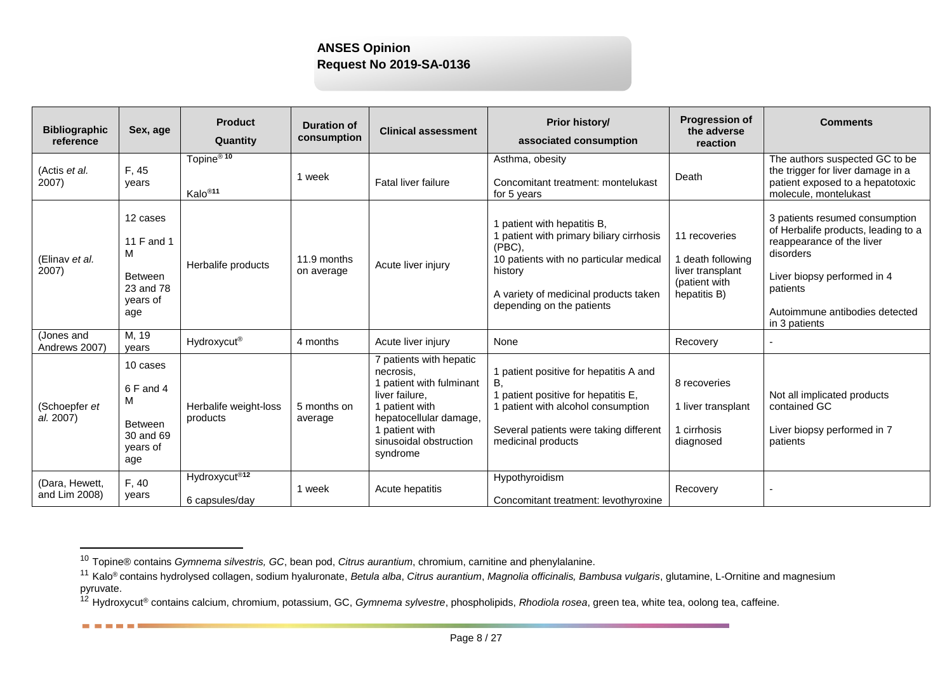| <b>Bibliographic</b><br>reference | Sex, age                                                                      | <b>Product</b><br>Quantity                   | <b>Duration of</b><br>consumption | <b>Clinical assessment</b>                                                                                                                                                             | Prior history/<br>associated consumption                                                                                                                                                                        | <b>Progression of</b><br>the adverse<br>reaction                                        | <b>Comments</b>                                                                                                                                                                                               |
|-----------------------------------|-------------------------------------------------------------------------------|----------------------------------------------|-----------------------------------|----------------------------------------------------------------------------------------------------------------------------------------------------------------------------------------|-----------------------------------------------------------------------------------------------------------------------------------------------------------------------------------------------------------------|-----------------------------------------------------------------------------------------|---------------------------------------------------------------------------------------------------------------------------------------------------------------------------------------------------------------|
| (Actis et al.<br>2007)            | F, 45<br>years                                                                | Topine <sup>®10</sup><br>Kalo <sup>®11</sup> | 1 week                            | Fatal liver failure                                                                                                                                                                    | Asthma, obesity<br>Concomitant treatment: montelukast<br>for 5 years                                                                                                                                            | Death                                                                                   | The authors suspected GC to be<br>the trigger for liver damage in a<br>patient exposed to a hepatotoxic<br>molecule, montelukast                                                                              |
| (Elinav et al.<br>2007)           | 12 cases<br>11 F and 1<br>M<br><b>Between</b><br>23 and 78<br>years of<br>age | Herbalife products                           | 11.9 months<br>on average         | Acute liver injury                                                                                                                                                                     | 1 patient with hepatitis B,<br>1 patient with primary biliary cirrhosis<br>$(PBC)$ ,<br>10 patients with no particular medical<br>history<br>A variety of medicinal products taken<br>depending on the patients | 11 recoveries<br>I death following<br>liver transplant<br>(patient with<br>hepatitis B) | 3 patients resumed consumption<br>of Herbalife products, leading to a<br>reappearance of the liver<br>disorders<br>Liver biopsy performed in 4<br>patients<br>Autoimmune antibodies detected<br>in 3 patients |
| (Jones and<br>Andrews 2007)       | M, 19<br>vears                                                                | Hydroxycut <sup>®</sup>                      | 4 months                          | Acute liver injury                                                                                                                                                                     | None                                                                                                                                                                                                            | Recovery                                                                                |                                                                                                                                                                                                               |
| (Schoepfer et<br>al. 2007)        | 10 cases<br>6 F and 4<br>M<br>Between<br>30 and 69<br>years of<br>age         | Herbalife weight-loss<br>products            | 5 months on<br>average            | 7 patients with hepatic<br>necrosis.<br>1 patient with fulminant<br>liver failure,<br>1 patient with<br>hepatocellular damage,<br>1 patient with<br>sinusoidal obstruction<br>syndrome | 1 patient positive for hepatitis A and<br>В.<br>1 patient positive for hepatitis E,<br>1 patient with alcohol consumption<br>Several patients were taking different<br>medicinal products                       | 8 recoveries<br>1 liver transplant<br>1 cirrhosis<br>diagnosed                          | Not all implicated products<br>contained GC<br>Liver biopsy performed in 7<br>patients                                                                                                                        |
| (Dara, Hewett,<br>and Lim 2008)   | F, 40<br>vears                                                                | Hydroxycut <sup>®12</sup><br>6 capsules/day  | 1 week                            | Acute hepatitis                                                                                                                                                                        | Hypothyroidism<br>Concomitant treatment: levothyroxine                                                                                                                                                          | Recovery                                                                                | $\overline{\phantom{a}}$                                                                                                                                                                                      |

l

------

<sup>10</sup> Topine® contains *Gymnema silvestris, GC*, bean pod, *Citrus aurantium*, chromium, carnitine and phenylalanine.

<sup>11</sup> Kalo® contains hydrolysed collagen, sodium hyaluronate, *Betula alba*, *Citrus aurantium*, *Magnolia officinalis, Bambusa vulgaris*, glutamine, L-Ornitine and magnesium pyruvate.

<sup>12</sup> Hydroxycut® contains calcium, chromium, potassium, GC, *Gymnema sylvestre*, phospholipids, *Rhodiola rosea*, green tea, white tea, oolong tea, caffeine.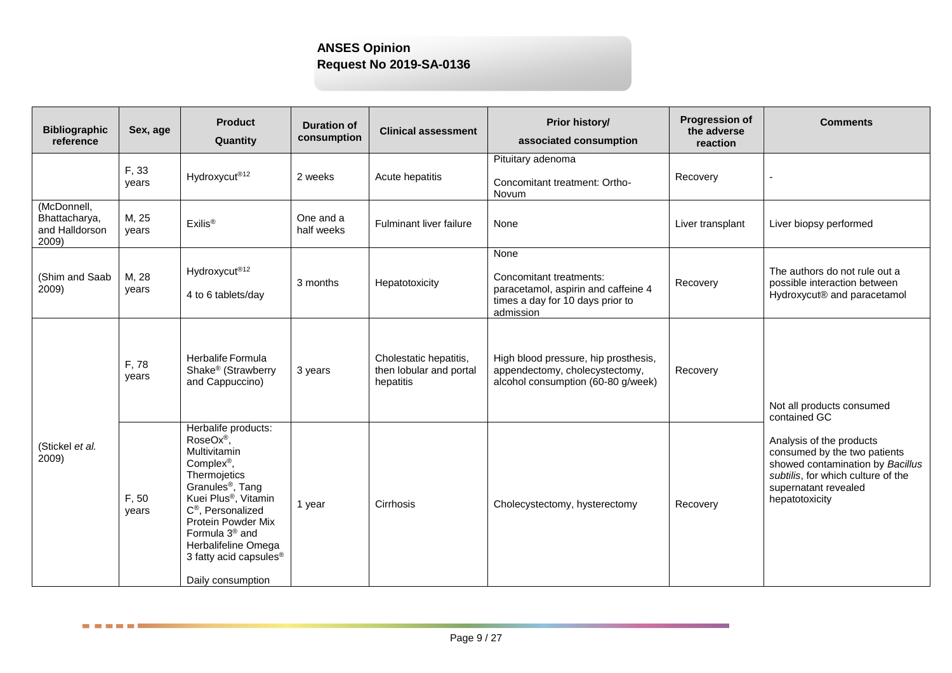| <b>Bibliographic</b><br>reference                       | Sex, age       | <b>Product</b><br>Quantity                                                                                                                                                                                                                                                                                                           | <b>Duration of</b><br>consumption | <b>Clinical assessment</b>                                     | Prior history/<br>associated consumption                                                                                | <b>Progression of</b><br>the adverse<br>reaction | <b>Comments</b>                                                                                                                                                              |
|---------------------------------------------------------|----------------|--------------------------------------------------------------------------------------------------------------------------------------------------------------------------------------------------------------------------------------------------------------------------------------------------------------------------------------|-----------------------------------|----------------------------------------------------------------|-------------------------------------------------------------------------------------------------------------------------|--------------------------------------------------|------------------------------------------------------------------------------------------------------------------------------------------------------------------------------|
|                                                         | F, 33<br>years | Hydroxycut <sup>®12</sup>                                                                                                                                                                                                                                                                                                            | 2 weeks                           | Acute hepatitis                                                | Pituitary adenoma<br>Concomitant treatment: Ortho-<br>Novum                                                             | Recovery                                         |                                                                                                                                                                              |
| (McDonnell,<br>Bhattacharya,<br>and Halldorson<br>2009) | M, 25<br>years | Exilis <sup>®</sup>                                                                                                                                                                                                                                                                                                                  | One and a<br>half weeks           | Fulminant liver failure                                        | None                                                                                                                    | Liver transplant                                 | Liver biopsy performed                                                                                                                                                       |
| (Shim and Saab<br>2009)                                 | M, 28<br>vears | Hydroxycut <sup>®12</sup><br>4 to 6 tablets/day                                                                                                                                                                                                                                                                                      | 3 months                          | Hepatotoxicity                                                 | None<br>Concomitant treatments:<br>paracetamol, aspirin and caffeine 4<br>times a day for 10 days prior to<br>admission | Recovery                                         | The authors do not rule out a<br>possible interaction between<br>Hydroxycut® and paracetamol                                                                                 |
|                                                         | F, 78<br>years | Herbalife Formula<br>Shake <sup>®</sup> (Strawberry<br>and Cappuccino)                                                                                                                                                                                                                                                               | 3 years                           | Cholestatic hepatitis,<br>then lobular and portal<br>hepatitis | High blood pressure, hip prosthesis,<br>appendectomy, cholecystectomy,<br>alcohol consumption (60-80 g/week)            | Recovery                                         | Not all products consumed<br>contained GC                                                                                                                                    |
| (Stickel et al.<br>2009)                                | F, 50<br>years | Herbalife products:<br>RoseOx®,<br>Multivitamin<br>Complex <sup>®</sup> ,<br>Thermojetics<br>Granules <sup>®</sup> , Tang<br>Kuei Plus <sup>®</sup> , Vitamin<br>C <sup>®</sup> , Personalized<br>Protein Powder Mix<br>Formula 3 <sup>®</sup> and<br>Herbalifeline Omega<br>3 fatty acid capsules <sup>®</sup><br>Daily consumption | 1 year                            | Cirrhosis                                                      | Cholecystectomy, hysterectomy                                                                                           | Recovery                                         | Analysis of the products<br>consumed by the two patients<br>showed contamination by Bacillus<br>subtilis, for which culture of the<br>supernatant revealed<br>hepatotoxicity |

<u> Die Bilder</u>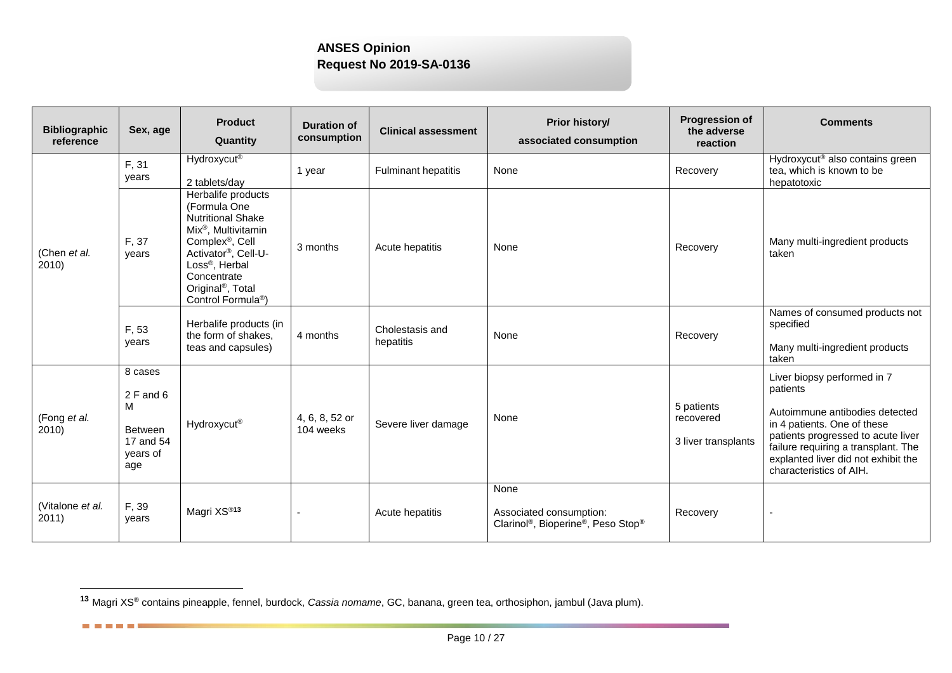| <b>Bibliographic</b><br>reference | Sex, age                                                                      | <b>Product</b><br>Quantity                                                                                                                                                                                                                                              | <b>Duration of</b><br>consumption | <b>Clinical assessment</b>   | Prior history/<br>associated consumption                                                                   | <b>Progression of</b><br>the adverse<br>reaction | <b>Comments</b>                                                                                                                                                                                                                                         |
|-----------------------------------|-------------------------------------------------------------------------------|-------------------------------------------------------------------------------------------------------------------------------------------------------------------------------------------------------------------------------------------------------------------------|-----------------------------------|------------------------------|------------------------------------------------------------------------------------------------------------|--------------------------------------------------|---------------------------------------------------------------------------------------------------------------------------------------------------------------------------------------------------------------------------------------------------------|
|                                   | F, 31<br>years                                                                | <b>Hydroxycut<sup>®</sup></b><br>2 tablets/day                                                                                                                                                                                                                          | 1 year                            | <b>Fulminant hepatitis</b>   | None                                                                                                       | Recovery                                         | Hydroxycut <sup>®</sup> also contains green<br>tea, which is known to be<br>hepatotoxic                                                                                                                                                                 |
| (Chen et al.<br>2010              | F, 37<br>years                                                                | Herbalife products<br>(Formula One<br><b>Nutritional Shake</b><br>Mix <sup>®</sup> , Multivitamin<br>Complex <sup>®</sup> , Cell<br>Activator®, Cell-U-<br>Loss <sup>®</sup> , Herbal<br>Concentrate<br>Original <sup>®</sup> , Total<br>Control Formula <sup>®</sup> ) | 3 months                          | Acute hepatitis              | None                                                                                                       | Recovery                                         | Many multi-ingredient products<br>taken                                                                                                                                                                                                                 |
|                                   | F, 53<br>years                                                                | Herbalife products (in<br>the form of shakes,<br>teas and capsules)                                                                                                                                                                                                     | 4 months                          | Cholestasis and<br>hepatitis | None                                                                                                       | Recovery                                         | Names of consumed products not<br>specified<br>Many multi-ingredient products<br>taken                                                                                                                                                                  |
| (Fong et al.<br>2010)             | 8 cases<br>$2$ F and 6<br>M<br><b>Between</b><br>17 and 54<br>years of<br>age | Hydroxycut®                                                                                                                                                                                                                                                             | 4, 6, 8, 52 or<br>104 weeks       | Severe liver damage          | None                                                                                                       | 5 patients<br>recovered<br>3 liver transplants   | Liver biopsy performed in 7<br>patients<br>Autoimmune antibodies detected<br>in 4 patients. One of these<br>patients progressed to acute liver<br>failure requiring a transplant. The<br>explanted liver did not exhibit the<br>characteristics of AIH. |
| (Vitalone et al.<br>2011)         | F, 39<br>years                                                                | Magri XS <sup>®13</sup>                                                                                                                                                                                                                                                 |                                   | Acute hepatitis              | None<br>Associated consumption:<br>Clarinol <sup>®</sup> , Bioperine <sup>®</sup> , Peso Stop <sup>®</sup> | Recovery                                         | ÷                                                                                                                                                                                                                                                       |

l

------

**<sup>13</sup>** Magri XS® contains pineapple, fennel, burdock, *Cassia nomame*, GC, banana, green tea, orthosiphon, jambul (Java plum).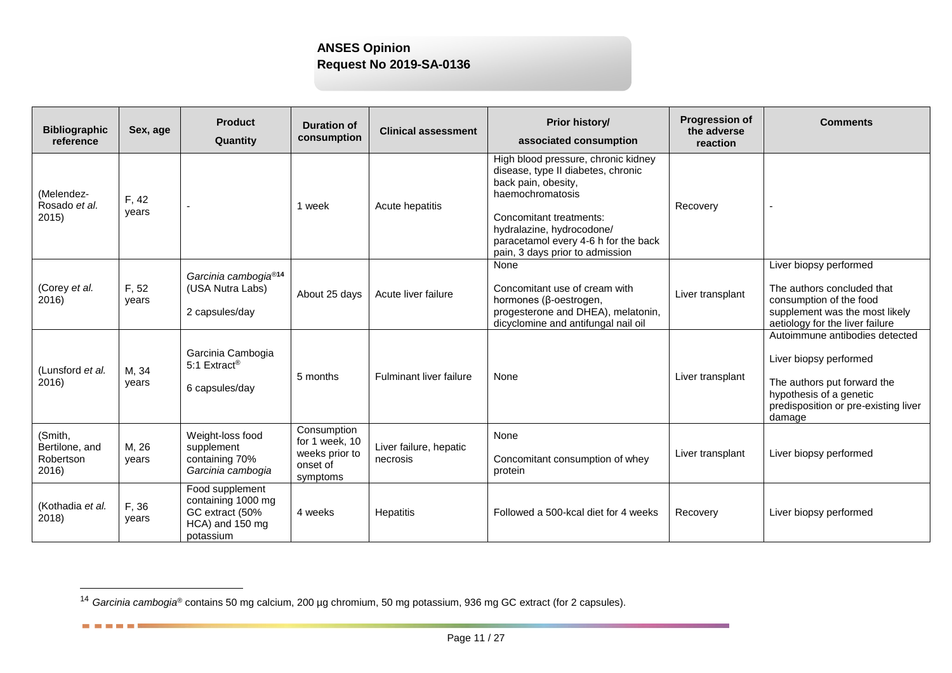| <b>Bibliographic</b><br>reference               | Sex, age       | <b>Product</b><br>Quantity                                                               | <b>Duration of</b><br>consumption                                       | <b>Clinical assessment</b>         | Prior history/<br>associated consumption                                                                                                                                                                                                                | <b>Progression of</b><br>the adverse<br>reaction | <b>Comments</b>                                                                                                                                                      |
|-------------------------------------------------|----------------|------------------------------------------------------------------------------------------|-------------------------------------------------------------------------|------------------------------------|---------------------------------------------------------------------------------------------------------------------------------------------------------------------------------------------------------------------------------------------------------|--------------------------------------------------|----------------------------------------------------------------------------------------------------------------------------------------------------------------------|
| (Melendez-<br>Rosado et al.<br>2015             | F, 42<br>years |                                                                                          | 1 week                                                                  | Acute hepatitis                    | High blood pressure, chronic kidney<br>disease, type II diabetes, chronic<br>back pain, obesity,<br>haemochromatosis<br>Concomitant treatments:<br>hydralazine, hydrocodone/<br>paracetamol every 4-6 h for the back<br>pain, 3 days prior to admission | Recovery                                         |                                                                                                                                                                      |
| (Corey et al.<br>2016)                          | F, 52<br>years | Garcinia cambogia <sup>®14</sup><br>(USA Nutra Labs)<br>2 capsules/day                   | About 25 days                                                           | Acute liver failure                | None<br>Concomitant use of cream with<br>hormones (β-oestrogen,<br>progesterone and DHEA), melatonin,<br>dicyclomine and antifungal nail oil                                                                                                            | Liver transplant                                 | Liver biopsy performed<br>The authors concluded that<br>consumption of the food<br>supplement was the most likely<br>aetiology for the liver failure                 |
| (Lunsford et al.<br>2016)                       | M, 34<br>years | Garcinia Cambogia<br>5:1 Extract <sup>®</sup><br>6 capsules/day                          | 5 months                                                                | Fulminant liver failure            | None                                                                                                                                                                                                                                                    | Liver transplant                                 | Autoimmune antibodies detected<br>Liver biopsy performed<br>The authors put forward the<br>hypothesis of a genetic<br>predisposition or pre-existing liver<br>damage |
| (Smith,<br>Bertilone, and<br>Robertson<br>2016) | M, 26<br>vears | Weight-loss food<br>supplement<br>containing 70%<br>Garcinia cambogia                    | Consumption<br>for 1 week, 10<br>weeks prior to<br>onset of<br>symptoms | Liver failure, hepatic<br>necrosis | None<br>Concomitant consumption of whey<br>protein                                                                                                                                                                                                      | Liver transplant                                 | Liver biopsy performed                                                                                                                                               |
| (Kothadia et al.<br>2018)                       | F, 36<br>years | Food supplement<br>containing 1000 mg<br>GC extract (50%<br>HCA) and 150 mg<br>potassium | 4 weeks                                                                 | Hepatitis                          | Followed a 500-kcal diet for 4 weeks                                                                                                                                                                                                                    | Recovery                                         | Liver biopsy performed                                                                                                                                               |

l

**BERTHER** 

<sup>14</sup> *Garcinia cambogia*® contains 50 mg calcium, 200 µg chromium, 50 mg potassium, 936 mg GC extract (for 2 capsules).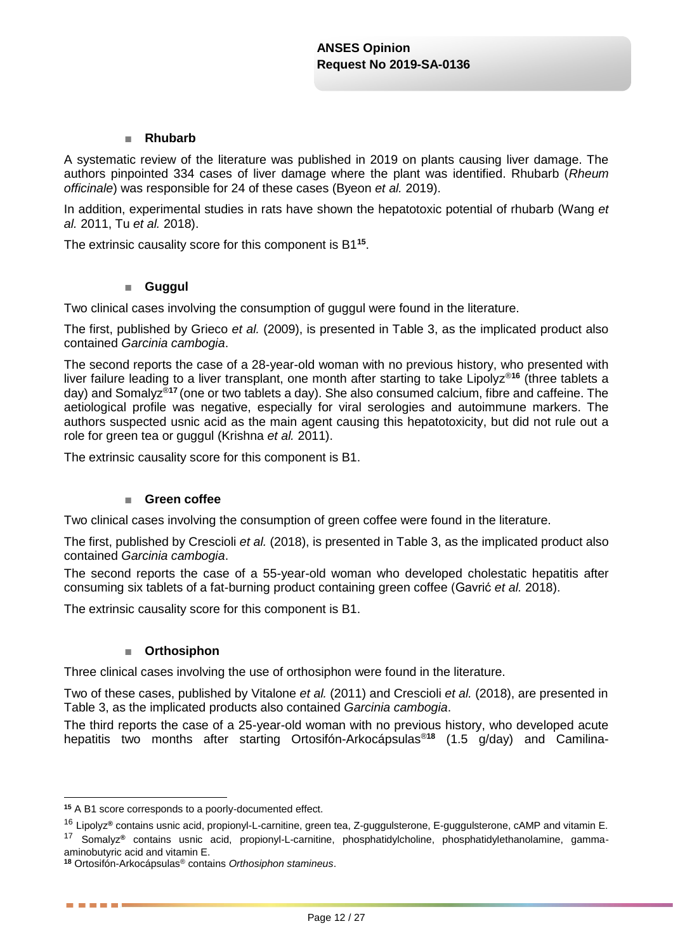### ■ **Rhubarb**

A systematic review of the literature was published in 2019 on plants causing liver damage. The authors pinpointed 334 cases of liver damage where the plant was identified. Rhubarb (*Rheum officinale*) was responsible for 24 of these cases (Byeon *et al.* 2019).

In addition, experimental studies in rats have shown the hepatotoxic potential of rhubarb (Wang *et al.* 2011, Tu *et al.* 2018).

The extrinsic causality score for this component is B1**<sup>15</sup>** .

### ■ **Guggul**

Two clinical cases involving the consumption of guggul were found in the literature.

The first, published by Grieco *et al.* (2009), is presented in Table 3, as the implicated product also contained *Garcinia cambogia*.

The second reports the case of a 28-year-old woman with no previous history, who presented with liver failure leading to a liver transplant, one month after starting to take Lipolyz®**<sup>16</sup>** (three tablets a day) and Somalyz®**<sup>17</sup>** (one or two tablets a day). She also consumed calcium, fibre and caffeine. The aetiological profile was negative, especially for viral serologies and autoimmune markers. The authors suspected usnic acid as the main agent causing this hepatotoxicity, but did not rule out a role for green tea or guggul (Krishna *et al.* 2011).

The extrinsic causality score for this component is B1.

### ■ **Green coffee**

Two clinical cases involving the consumption of green coffee were found in the literature.

The first, published by Crescioli *et al.* (2018), is presented in Table 3, as the implicated product also contained *Garcinia cambogia*.

The second reports the case of a 55-year-old woman who developed cholestatic hepatitis after consuming six tablets of a fat-burning product containing green coffee (Gavrić *et al.* 2018).

The extrinsic causality score for this component is B1.

### ■ **Orthosiphon**

Three clinical cases involving the use of orthosiphon were found in the literature.

Two of these cases, published by Vitalone *et al.* (2011) and Crescioli *et al.* (2018), are presented in Table 3, as the implicated products also contained *Garcinia cambogia*.

The third reports the case of a 25-year-old woman with no previous history, who developed acute hepatitis two months after starting Ortosifón-Arkocápsulas®**<sup>18</sup>** (1.5 g/day) and Camilina-

<u>.</u>

. . . . .

**<sup>15</sup>** A B1 score corresponds to a poorly-documented effect.

<sup>16</sup> Lipolyz**®** contains usnic acid, propionyl-L-carnitine, green tea, Z-guggulsterone, E-guggulsterone, cAMP and vitamin E.

<sup>17</sup> Somalyz**®** contains usnic acid, propionyl-L-carnitine, phosphatidylcholine, phosphatidylethanolamine, gammaaminobutyric acid and vitamin E.

**<sup>18</sup>** Ortosifón-Arkocápsulas® contains *Orthosiphon stamineus*.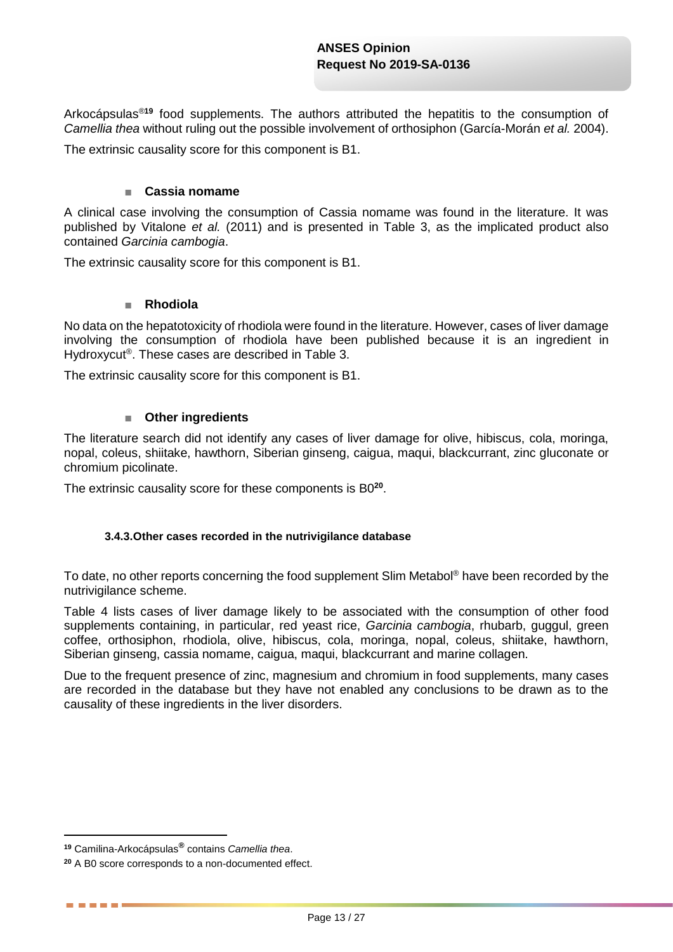Arkocápsulas®**<sup>19</sup>** food supplements. The authors attributed the hepatitis to the consumption of *Camellia thea* without ruling out the possible involvement of orthosiphon (García-Morán *et al.* 2004).

The extrinsic causality score for this component is B1.

### ■ **Cassia nomame**

A clinical case involving the consumption of Cassia nomame was found in the literature. It was published by Vitalone *et al.* (2011) and is presented in Table 3, as the implicated product also contained *Garcinia cambogia*.

The extrinsic causality score for this component is B1.

### ■ **Rhodiola**

No data on the hepatotoxicity of rhodiola were found in the literature. However, cases of liver damage involving the consumption of rhodiola have been published because it is an ingredient in Hydroxycut® . These cases are described in [Table 3.](#page-6-0)

The extrinsic causality score for this component is B1.

### ■ Other ingredients

The literature search did not identify any cases of liver damage for olive, hibiscus, cola, moringa, nopal, coleus, shiitake, hawthorn, Siberian ginseng, caigua, maqui, blackcurrant, zinc gluconate or chromium picolinate.

The extrinsic causality score for these components is B0**<sup>20</sup>** .

### **3.4.3.Other cases recorded in the nutrivigilance database**

To date, no other reports concerning the food supplement Slim Metabol® have been recorded by the nutrivigilance scheme.

[Table 4](#page-13-0) lists cases of liver damage likely to be associated with the consumption of other food supplements containing, in particular, red yeast rice, *Garcinia cambogia*, rhubarb, guggul, green coffee, orthosiphon, rhodiola, olive, hibiscus, cola, moringa, nopal, coleus, shiitake, hawthorn, Siberian ginseng, cassia nomame, caigua, maqui, blackcurrant and marine collagen.

Due to the frequent presence of zinc, magnesium and chromium in food supplements, many cases are recorded in the database but they have not enabled any conclusions to be drawn as to the causality of these ingredients in the liver disorders.

1

. . . . .

**<sup>19</sup>** Camilina-Arkocápsulas**®** contains *Camellia thea*.

**<sup>20</sup>** A B0 score corresponds to a non-documented effect.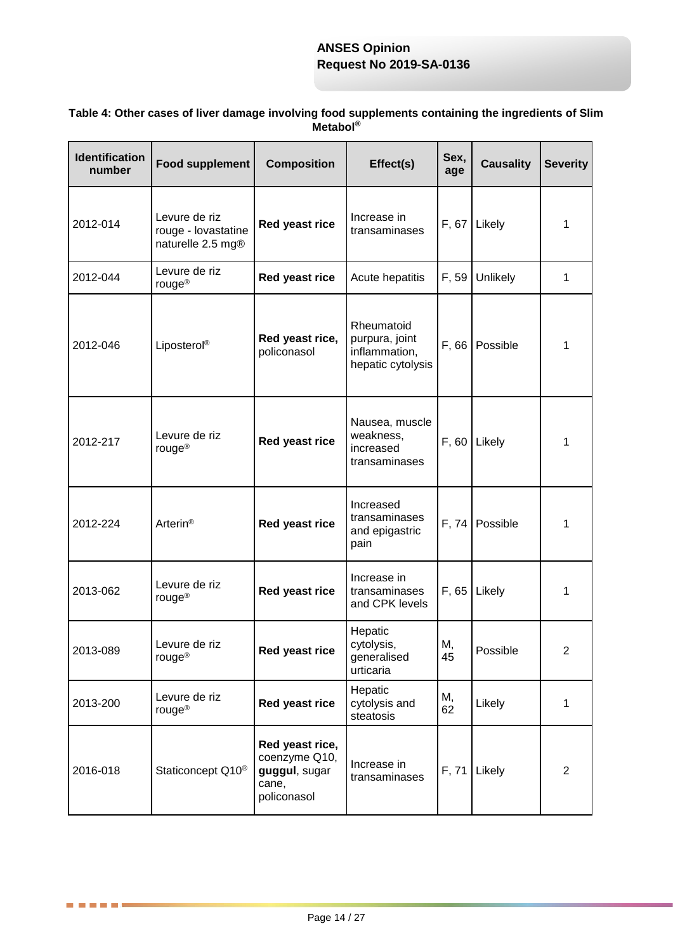| <b>Identification</b><br>number | <b>Food supplement</b>                                    | <b>Composition</b>                                                        | Effect(s)                                                          | Sex,<br>age | <b>Causality</b> | <b>Severity</b> |
|---------------------------------|-----------------------------------------------------------|---------------------------------------------------------------------------|--------------------------------------------------------------------|-------------|------------------|-----------------|
| 2012-014                        | Levure de riz<br>rouge - lovastatine<br>naturelle 2.5 mg® | Red yeast rice                                                            | Increase in<br>transaminases                                       | F, 67       | Likely           | 1               |
| 2012-044                        | Levure de riz<br>rouge <sup>®</sup>                       | Red yeast rice                                                            | Acute hepatitis                                                    | F, 59       | Unlikely         | 1               |
| 2012-046                        | Liposterol®                                               | Red yeast rice,<br>policonasol                                            | Rheumatoid<br>purpura, joint<br>inflammation,<br>hepatic cytolysis | F, 66       | Possible         | 1               |
| 2012-217                        | Levure de riz<br>rouge <sup>®</sup>                       | Red yeast rice                                                            | Nausea, muscle<br>weakness,<br>increased<br>transaminases          | F, 60       | Likely           | 1               |
| 2012-224                        | Arterin <sup>®</sup>                                      | Red yeast rice                                                            | Increased<br>transaminases<br>and epigastric<br>pain               | F, 74       | Possible         | 1               |
| 2013-062                        | Levure de riz<br>rouge <sup>®</sup>                       | Red yeast rice                                                            | Increase in<br>transaminases<br>and CPK levels                     | F, 65       | Likely           | 1               |
| 2013-089                        | Levure de riz<br>rouge <sup>®</sup>                       | Red yeast rice                                                            | Hepatic<br>cytolysis,<br>generalised<br>urticaria                  | М,<br>45    | Possible         | 2               |
| 2013-200                        | Levure de riz<br>rouge <sup>®</sup>                       | Red yeast rice                                                            | Hepatic<br>cytolysis and<br>steatosis                              | М,<br>62    | Likely           | 1               |
| 2016-018                        | Staticoncept Q10 <sup>®</sup>                             | Red yeast rice,<br>coenzyme Q10,<br>guggul, sugar<br>cane,<br>policonasol | Increase in<br>transaminases                                       | F, 71       | Likely           | $\overline{2}$  |

### <span id="page-13-0"></span>**Table 4: Other cases of liver damage involving food supplements containing the ingredients of Slim Metabol®**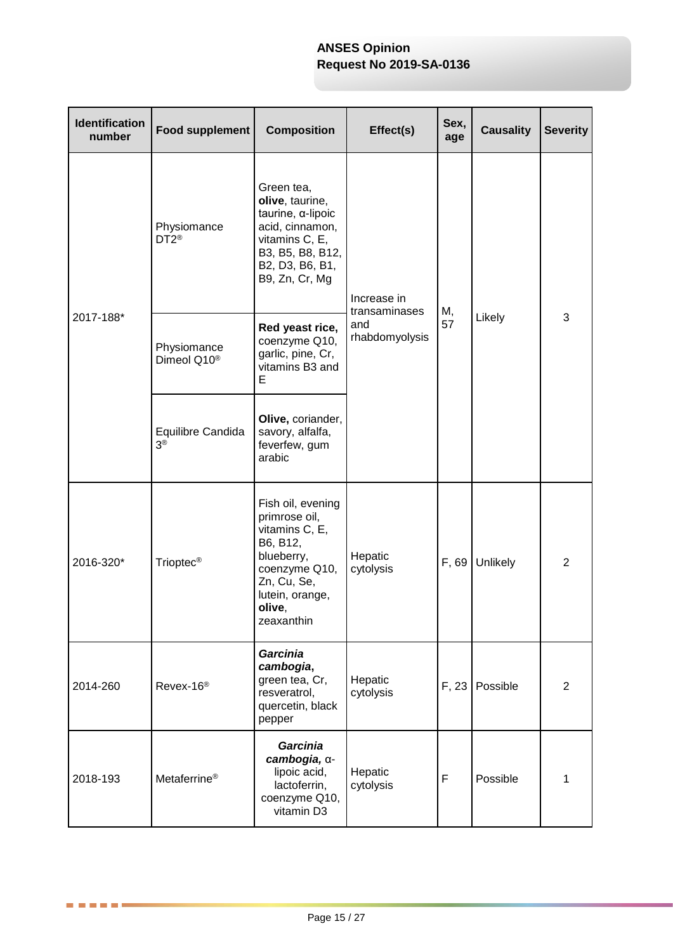| <b>Identification</b><br>number | <b>Food supplement</b>                 | <b>Composition</b>                                                                                                                                        | Effect(s)                                             | Sex,<br>age | <b>Causality</b> | <b>Severity</b> |
|---------------------------------|----------------------------------------|-----------------------------------------------------------------------------------------------------------------------------------------------------------|-------------------------------------------------------|-------------|------------------|-----------------|
| 2017-188*                       | Physiomance<br>DT2 <sup>®</sup>        | Green tea,<br>olive, taurine,<br>taurine, α-lipoic<br>acid, cinnamon,<br>vitamins C, E,<br>B3, B5, B8, B12,<br>B2, D3, B6, B1,<br>B9, Zn, Cr, Mg          | Increase in<br>transaminases<br>and<br>rhabdomyolysis | М,          | Likely           | 3               |
|                                 | Physiomance<br>Dimeol Q10 <sup>®</sup> | Red yeast rice,<br>coenzyme Q10,<br>garlic, pine, Cr,<br>vitamins B3 and<br>Е                                                                             |                                                       | 57          |                  |                 |
|                                 | Equilibre Candida<br>3 <sup>®</sup>    | Olive, coriander,<br>savory, alfalfa,<br>feverfew, gum<br>arabic                                                                                          |                                                       |             |                  |                 |
| 2016-320*                       | Trioptec <sup>®</sup>                  | Fish oil, evening<br>primrose oil,<br>vitamins C, E,<br>B6, B12,<br>blueberry,<br>coenzyme Q10,<br>Zn, Cu, Se,<br>lutein, orange,<br>olive,<br>zeaxanthin | Hepatic<br>cytolysis                                  | F, 69       | Unlikely         | $\overline{2}$  |
| 2014-260                        | Revex-16 <sup>®</sup>                  | Garcinia<br>cambogia,<br>green tea, Cr,<br>resveratrol,<br>quercetin, black<br>pepper                                                                     | Hepatic<br>cytolysis                                  | F, 23       | Possible         | $\overline{2}$  |
| 2018-193                        | Metaferrine <sup>®</sup>               | <b>Garcinia</b><br>cambogia, a-<br>lipoic acid,<br>lactoferrin,<br>coenzyme Q10,<br>vitamin D3                                                            | Hepatic<br>cytolysis                                  | F           | Possible         | 1               |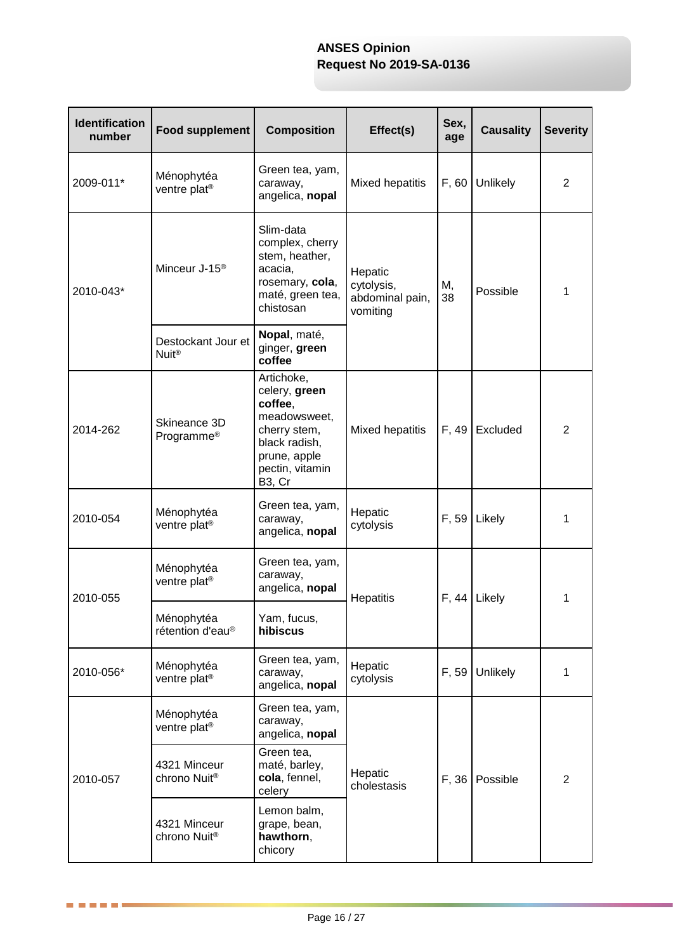| <b>Identification</b><br>number | <b>Food supplement</b>                   | <b>Composition</b>                                                                                                                                | Effect(s)                                            | Sex,<br>age | <b>Causality</b> | <b>Severity</b> |
|---------------------------------|------------------------------------------|---------------------------------------------------------------------------------------------------------------------------------------------------|------------------------------------------------------|-------------|------------------|-----------------|
| 2009-011*                       | Ménophytéa<br>ventre plat <sup>®</sup>   | Green tea, yam,<br>caraway,<br>angelica, nopal                                                                                                    | Mixed hepatitis                                      | F, 60       | Unlikely         | 2               |
| 2010-043*                       | Minceur J-15 <sup>®</sup>                | Slim-data<br>complex, cherry<br>stem, heather,<br>acacia,<br>rosemary, cola,<br>maté, green tea,<br>chistosan                                     | Hepatic<br>cytolysis,<br>abdominal pain,<br>vomiting | М,<br>38    | Possible         | 1               |
|                                 | Destockant Jour et<br>Nuit®              | Nopal, maté,<br>ginger, green<br>coffee                                                                                                           |                                                      |             |                  |                 |
| 2014-262                        | Skineance 3D<br>Programme <sup>®</sup>   | Artichoke,<br>celery, green<br>coffee,<br>meadowsweet,<br>cherry stem,<br>black radish,<br>prune, apple<br>pectin, vitamin<br>B <sub>3</sub> , Cr | Mixed hepatitis                                      | F, 49       | Excluded         | 2               |
| 2010-054                        | Ménophytéa<br>ventre plat <sup>®</sup>   | Green tea, yam,<br>caraway,<br>angelica, nopal                                                                                                    | Hepatic<br>cytolysis                                 | F, 59       | Likely           | 1               |
| 2010-055                        | Ménophytéa<br>ventre plat <sup>®</sup>   | Green tea, yam,<br>caraway,<br>angelica, nopal                                                                                                    | Hepatitis                                            | F, 44       | Likely           | 1               |
|                                 | Ménophytéa<br>rétention d'eau®           | Yam, fucus,<br>hibiscus                                                                                                                           |                                                      |             |                  |                 |
| 2010-056*                       | Ménophytéa<br>ventre plat <sup>®</sup>   | Green tea, yam,<br>caraway,<br>angelica, nopal                                                                                                    | Hepatic<br>cytolysis                                 | F, 59       | Unlikely         | 1               |
|                                 | Ménophytéa<br>ventre plat <sup>®</sup>   | Green tea, yam,<br>caraway,<br>angelica, nopal                                                                                                    |                                                      |             |                  |                 |
| 2010-057                        | 4321 Minceur<br>chrono Nuit®             | Green tea,<br>maté, barley,<br>cola, fennel,<br>celery                                                                                            | Hepatic<br>cholestasis                               | F, 36       | Possible         | $\overline{2}$  |
|                                 | 4321 Minceur<br>chrono Nuit <sup>®</sup> | Lemon balm,<br>grape, bean,<br>hawthorn,<br>chicory                                                                                               |                                                      |             |                  |                 |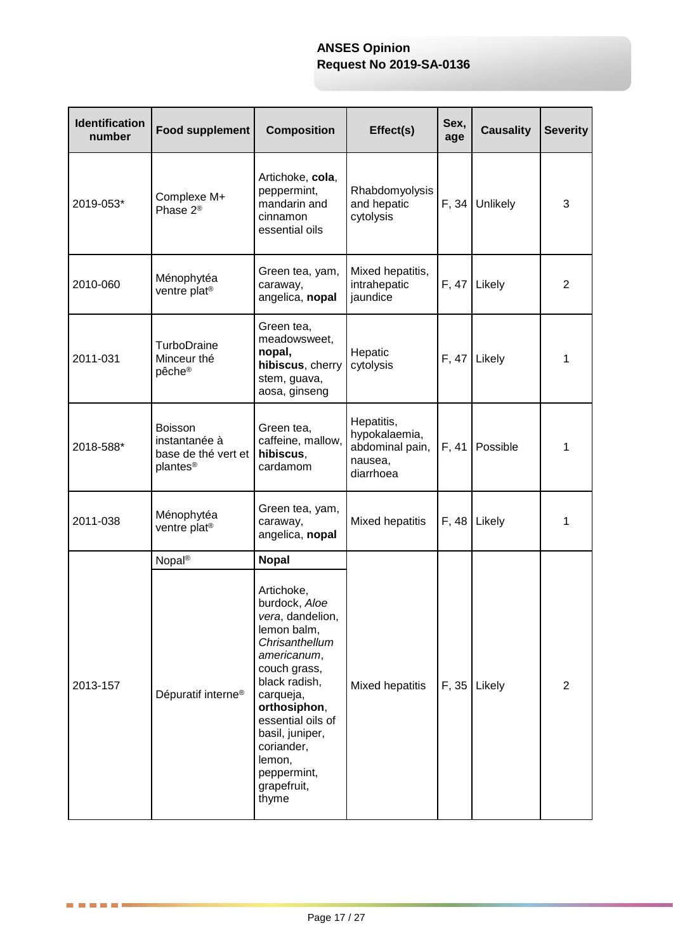| <b>Identification</b><br>number | <b>Food supplement</b>                                                         | <b>Composition</b>                                                                                                                                                                                                                                                   | Effect(s)                                                              | Sex,<br>age | <b>Causality</b> | <b>Severity</b> |
|---------------------------------|--------------------------------------------------------------------------------|----------------------------------------------------------------------------------------------------------------------------------------------------------------------------------------------------------------------------------------------------------------------|------------------------------------------------------------------------|-------------|------------------|-----------------|
| 2019-053*                       | Complexe M+<br>Phase 2 <sup>®</sup>                                            | Artichoke, cola,<br>peppermint,<br>mandarin and<br>cinnamon<br>essential oils                                                                                                                                                                                        | Rhabdomyolysis<br>and hepatic<br>cytolysis                             | F, 34       | Unlikely         | 3               |
| 2010-060                        | Ménophytéa<br>ventre plat <sup>®</sup>                                         | Green tea, yam,<br>caraway,<br>angelica, nopal                                                                                                                                                                                                                       | Mixed hepatitis,<br>intrahepatic<br>jaundice                           | F, 47       | Likely           | 2               |
| 2011-031                        | TurboDraine<br>Minceur thé<br>pêche <sup>®</sup>                               | Green tea,<br>meadowsweet,<br>nopal,<br>hibiscus, cherry<br>stem, guava,<br>aosa, ginseng                                                                                                                                                                            | Hepatic<br>cytolysis                                                   | F, 47       | Likely           | 1               |
| 2018-588*                       | <b>Boisson</b><br>instantanée à<br>base de thé vert et<br>plantes <sup>®</sup> | Green tea,<br>caffeine, mallow,<br>hibiscus,<br>cardamom                                                                                                                                                                                                             | Hepatitis,<br>hypokalaemia,<br>abdominal pain,<br>nausea,<br>diarrhoea | F, 41       | Possible         | 1               |
| 2011-038                        | Ménophytéa<br>ventre plat <sup>®</sup>                                         | Green tea, yam,<br>caraway,<br>angelica, nopal                                                                                                                                                                                                                       | Mixed hepatitis                                                        | F, 48       | Likely           | 1               |
|                                 | Nopal <sup>®</sup>                                                             | <b>Nopal</b>                                                                                                                                                                                                                                                         |                                                                        |             |                  |                 |
| 2013-157                        | Dépuratif interne <sup>®</sup>                                                 | Artichoke,<br>burdock, Aloe<br>vera, dandelion,<br>lemon balm,<br>Chrisanthellum<br>americanum,<br>couch grass,<br>black radish,<br>carqueja,<br>orthosiphon,<br>essential oils of<br>basil, juniper,<br>coriander,<br>lemon,<br>peppermint,<br>grapefruit,<br>thyme | Mixed hepatitis                                                        | F, 35       | Likely           | 2               |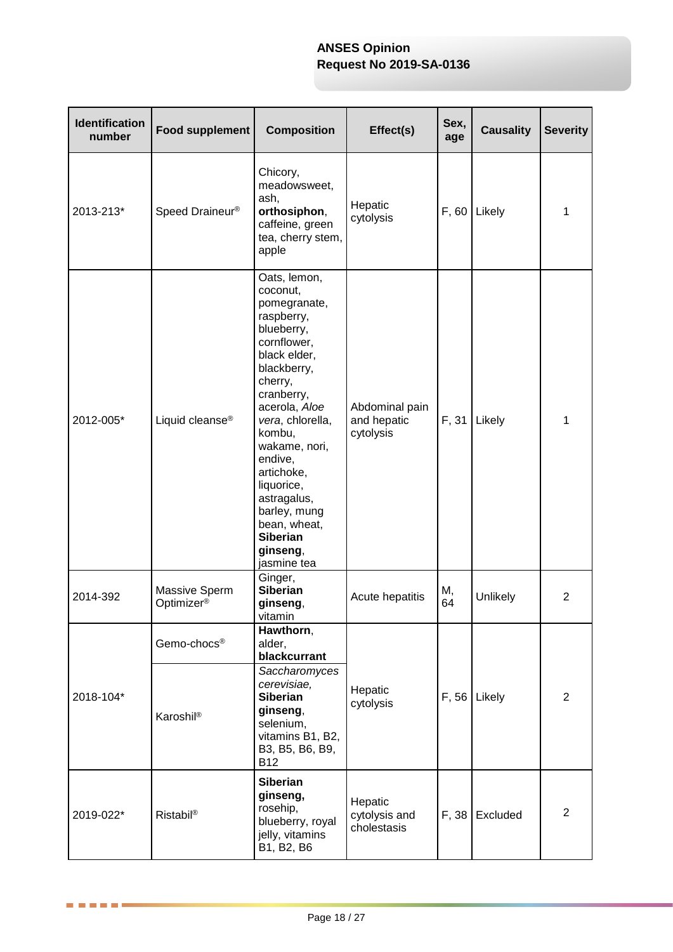| <b>Identification</b><br>number | <b>Food supplement</b>                  | <b>Composition</b>                                                                                                                                                                                                                                                                                                                              | Effect(s)                                  | Sex,<br>age | <b>Causality</b> | <b>Severity</b> |
|---------------------------------|-----------------------------------------|-------------------------------------------------------------------------------------------------------------------------------------------------------------------------------------------------------------------------------------------------------------------------------------------------------------------------------------------------|--------------------------------------------|-------------|------------------|-----------------|
| 2013-213*                       | Speed Draineur <sup>®</sup>             | Chicory,<br>meadowsweet,<br>ash,<br>orthosiphon,<br>caffeine, green<br>tea, cherry stem,<br>apple                                                                                                                                                                                                                                               | Hepatic<br>cytolysis                       | F, 60       | Likely           | 1               |
| 2012-005*                       | Liquid cleanse®                         | Oats, lemon,<br>coconut,<br>pomegranate,<br>raspberry,<br>blueberry,<br>cornflower,<br>black elder,<br>blackberry,<br>cherry,<br>cranberry,<br>acerola, Aloe<br>vera, chlorella,<br>kombu,<br>wakame, nori,<br>endive,<br>artichoke,<br>liquorice,<br>astragalus,<br>barley, mung<br>bean, wheat,<br><b>Siberian</b><br>ginseng,<br>jasmine tea | Abdominal pain<br>and hepatic<br>cytolysis | F, 31       | Likely           | 1               |
| 2014-392                        | Massive Sperm<br>Optimizer <sup>®</sup> | Ginger,<br><b>Siberian</b><br>ginseng,<br>vitamin                                                                                                                                                                                                                                                                                               | Acute hepatitis                            | М,<br>64    | Unlikely         | 2               |
| 2018-104*                       | Gemo-chocs®<br>Karoshil®                | Hawthorn,<br>alder,<br>blackcurrant<br>Saccharomyces<br>cerevisiae,<br><b>Siberian</b><br>ginseng,<br>selenium,<br>vitamins B1, B2,<br>B3, B5, B6, B9,<br><b>B12</b>                                                                                                                                                                            | Hepatic<br>cytolysis                       | F, 56       | Likely           | $\overline{2}$  |
| 2019-022*                       | Ristabil <sup>®</sup>                   | <b>Siberian</b><br>ginseng,<br>rosehip,<br>blueberry, royal<br>jelly, vitamins<br>B1, B2, B6                                                                                                                                                                                                                                                    | Hepatic<br>cytolysis and<br>cholestasis    | F, 38       | Excluded         | $\overline{2}$  |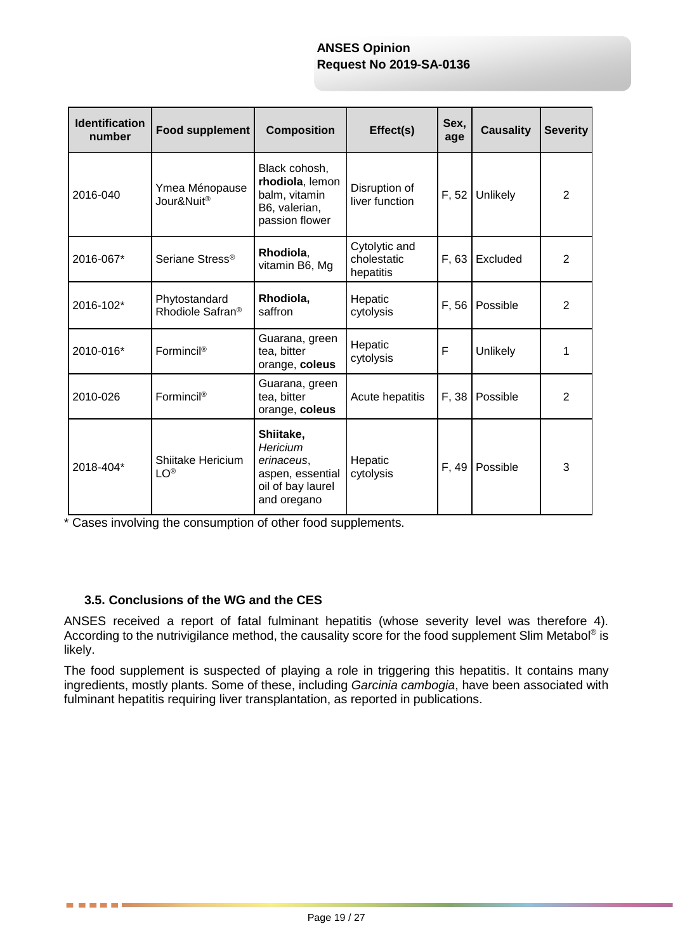| <b>Identification</b><br>number | Food supplement                               | <b>Composition</b>                                                                          | Effect(s)                                 | Sex,<br>age | <b>Causality</b> | <b>Severity</b> |
|---------------------------------|-----------------------------------------------|---------------------------------------------------------------------------------------------|-------------------------------------------|-------------|------------------|-----------------|
| 2016-040                        | Ymea Ménopause<br>Jour&Nuit <sup>®</sup>      | Black cohosh,<br>rhodiola, lemon<br>balm, vitamin<br>B6, valerian,<br>passion flower        | Disruption of<br>liver function           | F, 52       | Unlikely         | 2               |
| 2016-067*                       | Seriane Stress <sup>®</sup>                   | Rhodiola,<br>vitamin B6, Mg                                                                 | Cytolytic and<br>cholestatic<br>hepatitis | F, 63       | Excluded         | 2               |
| 2016-102*                       | Phytostandard<br>Rhodiole Safran <sup>®</sup> | Rhodiola,<br>saffron                                                                        | Hepatic<br>cytolysis                      | F, 56       | Possible         | 2               |
| 2010-016*                       | Formincil®                                    | Guarana, green<br>tea, bitter<br>orange, coleus                                             | Hepatic<br>cytolysis                      | F           | Unlikely         | 1               |
| 2010-026                        | Formincil®                                    | Guarana, green<br>tea, bitter<br>orange, coleus                                             | Acute hepatitis                           | F, 38       | Possible         | 2               |
| 2018-404*                       | Shiitake Hericium<br><b>LO®</b>               | Shiitake,<br>Hericium<br>erinaceus,<br>aspen, essential<br>oil of bay laurel<br>and oregano | Hepatic<br>cytolysis                      | F, 49       | Possible         | 3               |

\* Cases involving the consumption of other food supplements.

## **3.5. Conclusions of the WG and the CES**

. . . . . **.** 

ANSES received a report of fatal fulminant hepatitis (whose severity level was therefore 4). According to the nutrivigilance method, the causality score for the food supplement Slim Metabol<sup>®</sup> is likely.

The food supplement is suspected of playing a role in triggering this hepatitis. It contains many ingredients, mostly plants. Some of these, including *Garcinia cambogia*, have been associated with fulminant hepatitis requiring liver transplantation, as reported in publications.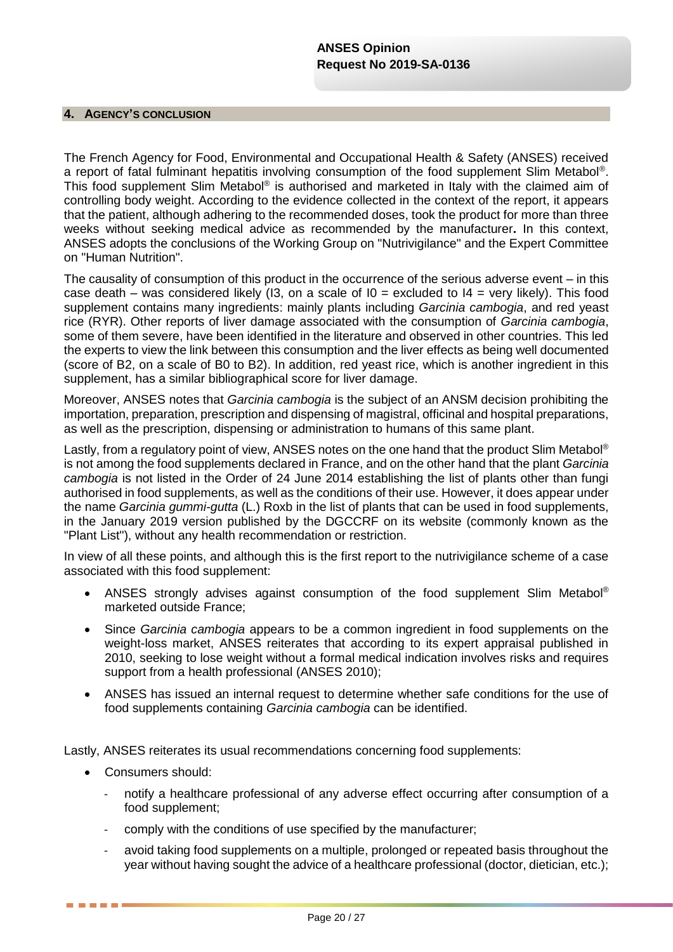#### **4. AGENCY'S CONCLUSION**

The French Agency for Food, Environmental and Occupational Health & Safety (ANSES) received a report of fatal fulminant hepatitis involving consumption of the food supplement Slim Metabol®. This food supplement Slim Metabol® is authorised and marketed in Italy with the claimed aim of controlling body weight. According to the evidence collected in the context of the report, it appears that the patient, although adhering to the recommended doses, took the product for more than three weeks without seeking medical advice as recommended by the manufacturer**.** In this context, ANSES adopts the conclusions of the Working Group on "Nutrivigilance" and the Expert Committee on "Human Nutrition".

The causality of consumption of this product in the occurrence of the serious adverse event – in this case death – was considered likely (I3, on a scale of  $I0 =$  excluded to  $I4 =$  very likely). This food supplement contains many ingredients: mainly plants including *Garcinia cambogia*, and red yeast rice (RYR). Other reports of liver damage associated with the consumption of *Garcinia cambogia*, some of them severe, have been identified in the literature and observed in other countries. This led the experts to view the link between this consumption and the liver effects as being well documented (score of B2, on a scale of B0 to B2). In addition, red yeast rice, which is another ingredient in this supplement, has a similar bibliographical score for liver damage.

Moreover, ANSES notes that *Garcinia cambogia* is the subject of an ANSM decision prohibiting the importation, preparation, prescription and dispensing of magistral, officinal and hospital preparations, as well as the prescription, dispensing or administration to humans of this same plant.

Lastly, from a regulatory point of view, ANSES notes on the one hand that the product Slim Metabol<sup>®</sup> is not among the food supplements declared in France, and on the other hand that the plant *Garcinia cambogia* is not listed in the Order of 24 June 2014 establishing the list of plants other than fungi authorised in food supplements, as well as the conditions of their use. However, it does appear under the name *Garcinia gummi-gutta* (L.) Roxb in the list of plants that can be used in food supplements, in the January 2019 version published by the DGCCRF on its website (commonly known as the "Plant List"), without any health recommendation or restriction.

In view of all these points, and although this is the first report to the nutrivigilance scheme of a case associated with this food supplement:

- ANSES strongly advises against consumption of the food supplement Slim Metabol® marketed outside France;
- Since *Garcinia cambogia* appears to be a common ingredient in food supplements on the weight-loss market, ANSES reiterates that according to its expert appraisal published in 2010, seeking to lose weight without a formal medical indication involves risks and requires support from a health professional (ANSES 2010);
- ANSES has issued an internal request to determine whether safe conditions for the use of food supplements containing *Garcinia cambogia* can be identified.

Lastly, ANSES reiterates its usual recommendations concerning food supplements:

• Consumers should:

. . . .

- notify a healthcare professional of any adverse effect occurring after consumption of a food supplement;
- comply with the conditions of use specified by the manufacturer;
- avoid taking food supplements on a multiple, prolonged or repeated basis throughout the year without having sought the advice of a healthcare professional (doctor, dietician, etc.);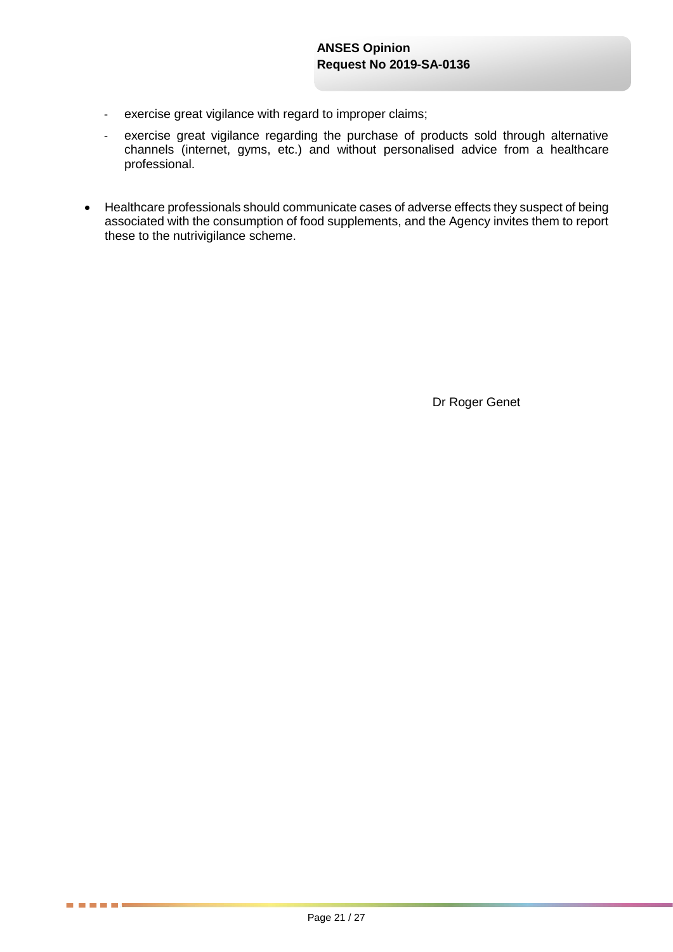- exercise great vigilance with regard to improper claims;
- exercise great vigilance regarding the purchase of products sold through alternative channels (internet, gyms, etc.) and without personalised advice from a healthcare professional.
- Healthcare professionals should communicate cases of adverse effects they suspect of being associated with the consumption of food supplements, and the Agency invites them to report these to the nutrivigilance scheme.

Dr Roger Genet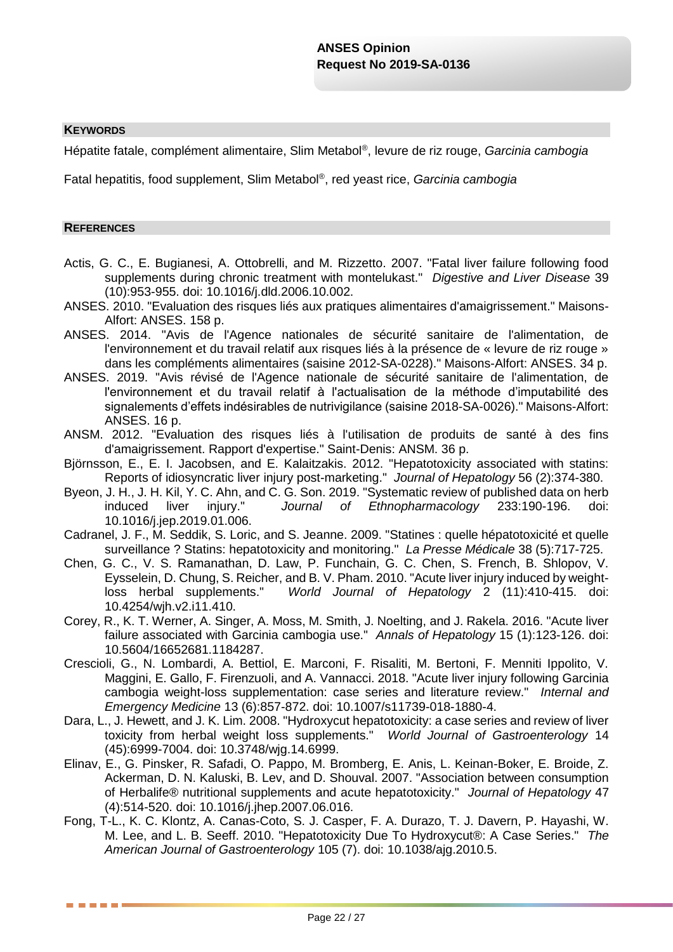#### **KEYWORDS**

Hépatite fatale, complément alimentaire, Slim Metabol® , levure de riz rouge, *Garcinia cambogia*

Fatal hepatitis, food supplement, Slim Metabol® , red yeast rice, *Garcinia cambogia*

#### **REFERENCES**

. . . .

- Actis, G. C., E. Bugianesi, A. Ottobrelli, and M. Rizzetto. 2007. "Fatal liver failure following food supplements during chronic treatment with montelukast." *Digestive and Liver Disease* 39 (10):953-955. doi: 10.1016/j.dld.2006.10.002.
- ANSES. 2010. "Evaluation des risques liés aux pratiques alimentaires d'amaigrissement." Maisons-Alfort: ANSES. 158 p.
- ANSES. 2014. "Avis de l'Agence nationales de sécurité sanitaire de l'alimentation, de l'environnement et du travail relatif aux risques liés à la présence de « levure de riz rouge » dans les compléments alimentaires (saisine 2012-SA-0228)." Maisons-Alfort: ANSES. 34 p.
- ANSES. 2019. "Avis révisé de l'Agence nationale de sécurité sanitaire de l'alimentation, de l'environnement et du travail relatif à l'actualisation de la méthode d'imputabilité des signalements d'effets indésirables de nutrivigilance (saisine 2018-SA-0026)." Maisons-Alfort: ANSES. 16 p.
- ANSM. 2012. "Evaluation des risques liés à l'utilisation de produits de santé à des fins d'amaigrissement. Rapport d'expertise." Saint-Denis: ANSM. 36 p.
- Björnsson, E., E. I. Jacobsen, and E. Kalaitzakis. 2012. "Hepatotoxicity associated with statins: Reports of idiosyncratic liver injury post-marketing." *Journal of Hepatology* 56 (2):374-380.
- Byeon, J. H., J. H. Kil, Y. C. Ahn, and C. G. Son. 2019. "Systematic review of published data on herb induced liver injury." *Journal of Ethnopharmacology* 233:190-196. doi: 10.1016/j.jep.2019.01.006.
- Cadranel, J. F., M. Seddik, S. Loric, and S. Jeanne. 2009. "Statines : quelle hépatotoxicité et quelle surveillance ? Statins: hepatotoxicity and monitoring." *La Presse Médicale* 38 (5):717-725.
- Chen, G. C., V. S. Ramanathan, D. Law, P. Funchain, G. C. Chen, S. French, B. Shlopov, V. Eysselein, D. Chung, S. Reicher, and B. V. Pham. 2010. "Acute liver injury induced by weightloss herbal supplements." *World Journal of Hepatology* 2 (11):410-415. doi: 10.4254/wjh.v2.i11.410.
- Corey, R., K. T. Werner, A. Singer, A. Moss, M. Smith, J. Noelting, and J. Rakela. 2016. "Acute liver failure associated with Garcinia cambogia use." *Annals of Hepatology* 15 (1):123-126. doi: 10.5604/16652681.1184287.
- Crescioli, G., N. Lombardi, A. Bettiol, E. Marconi, F. Risaliti, M. Bertoni, F. Menniti Ippolito, V. Maggini, E. Gallo, F. Firenzuoli, and A. Vannacci. 2018. "Acute liver injury following Garcinia cambogia weight-loss supplementation: case series and literature review." *Internal and Emergency Medicine* 13 (6):857-872. doi: 10.1007/s11739-018-1880-4.
- Dara, L., J. Hewett, and J. K. Lim. 2008. "Hydroxycut hepatotoxicity: a case series and review of liver toxicity from herbal weight loss supplements." *World Journal of Gastroenterology* 14 (45):6999-7004. doi: 10.3748/wjg.14.6999.
- Elinav, E., G. Pinsker, R. Safadi, O. Pappo, M. Bromberg, E. Anis, L. Keinan-Boker, E. Broide, Z. Ackerman, D. N. Kaluski, B. Lev, and D. Shouval. 2007. "Association between consumption of Herbalife® nutritional supplements and acute hepatotoxicity." *Journal of Hepatology* 47 (4):514-520. doi: 10.1016/j.jhep.2007.06.016.
- Fong, T-L., K. C. Klontz, A. Canas-Coto, S. J. Casper, F. A. Durazo, T. J. Davern, P. Hayashi, W. M. Lee, and L. B. Seeff. 2010. "Hepatotoxicity Due To Hydroxycut®: A Case Series." *The American Journal of Gastroenterology* 105 (7). doi: 10.1038/ajg.2010.5.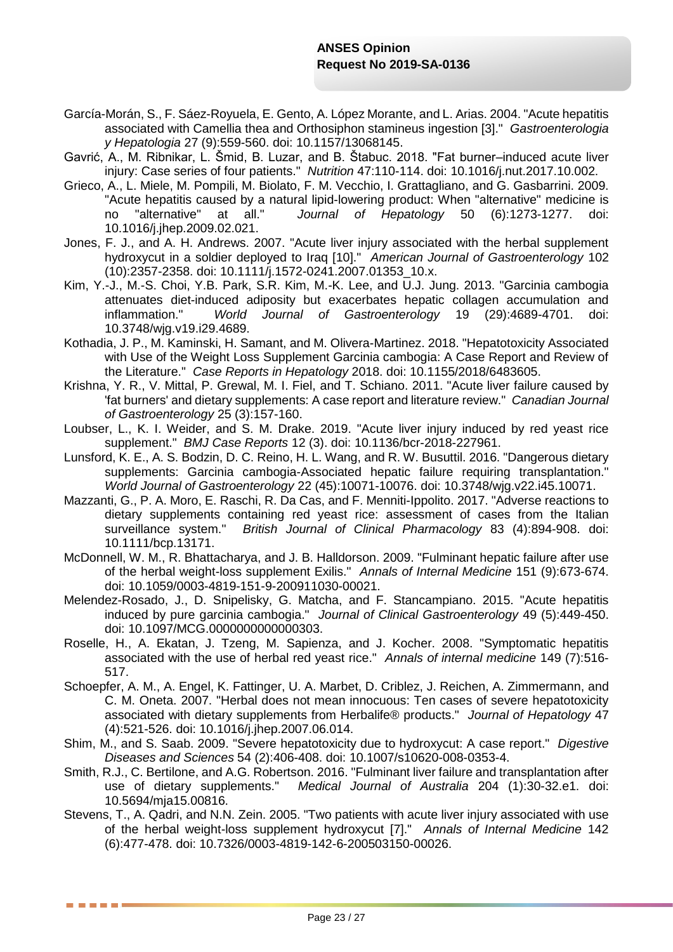- García-Morán, S., F. Sáez-Royuela, E. Gento, A. López Morante, and L. Arias. 2004. "Acute hepatitis associated with Camellia thea and Orthosiphon stamineus ingestion [3]." *Gastroenterologia y Hepatologia* 27 (9):559-560. doi: 10.1157/13068145.
- Gavrić, A., M. Ribnikar, L. Šmid, B. Luzar, and B. Štabuc. 2018. "Fat burner–induced acute liver injury: Case series of four patients." *Nutrition* 47:110-114. doi: 10.1016/j.nut.2017.10.002.
- Grieco, A., L. Miele, M. Pompili, M. Biolato, F. M. Vecchio, I. Grattagliano, and G. Gasbarrini. 2009. "Acute hepatitis caused by a natural lipid-lowering product: When "alternative" medicine is no "alternative" at all." *Journal of Hepatology* 50 (6):1273-1277. doi: 10.1016/j.jhep.2009.02.021.
- Jones, F. J., and A. H. Andrews. 2007. "Acute liver injury associated with the herbal supplement hydroxycut in a soldier deployed to Iraq [10]." *American Journal of Gastroenterology* 102 (10):2357-2358. doi: 10.1111/j.1572-0241.2007.01353\_10.x.
- Kim, Y.-J., M.-S. Choi, Y.B. Park, S.R. Kim, M.-K. Lee, and U.J. Jung. 2013. "Garcinia cambogia attenuates diet-induced adiposity but exacerbates hepatic collagen accumulation and inflammation." *World Journal of Gastroenterology* 19 (29):4689-4701. doi: 10.3748/wjg.v19.i29.4689.
- Kothadia, J. P., M. Kaminski, H. Samant, and M. Olivera-Martinez. 2018. "Hepatotoxicity Associated with Use of the Weight Loss Supplement Garcinia cambogia: A Case Report and Review of the Literature." *Case Reports in Hepatology* 2018. doi: 10.1155/2018/6483605.
- Krishna, Y. R., V. Mittal, P. Grewal, M. I. Fiel, and T. Schiano. 2011. "Acute liver failure caused by 'fat burners' and dietary supplements: A case report and literature review." *Canadian Journal of Gastroenterology* 25 (3):157-160.
- Loubser, L., K. I. Weider, and S. M. Drake. 2019. "Acute liver injury induced by red yeast rice supplement." *BMJ Case Reports* 12 (3). doi: 10.1136/bcr-2018-227961.
- Lunsford, K. E., A. S. Bodzin, D. C. Reino, H. L. Wang, and R. W. Busuttil. 2016. "Dangerous dietary supplements: Garcinia cambogia-Associated hepatic failure requiring transplantation." *World Journal of Gastroenterology* 22 (45):10071-10076. doi: 10.3748/wjg.v22.i45.10071.
- Mazzanti, G., P. A. Moro, E. Raschi, R. Da Cas, and F. Menniti-Ippolito. 2017. "Adverse reactions to dietary supplements containing red yeast rice: assessment of cases from the Italian surveillance system." *British Journal of Clinical Pharmacology* 83 (4):894-908. doi: 10.1111/bcp.13171.
- McDonnell, W. M., R. Bhattacharya, and J. B. Halldorson. 2009. "Fulminant hepatic failure after use of the herbal weight-loss supplement Exilis." *Annals of Internal Medicine* 151 (9):673-674. doi: 10.1059/0003-4819-151-9-200911030-00021.
- Melendez-Rosado, J., D. Snipelisky, G. Matcha, and F. Stancampiano. 2015. "Acute hepatitis induced by pure garcinia cambogia." *Journal of Clinical Gastroenterology* 49 (5):449-450. doi: 10.1097/MCG.0000000000000303.
- Roselle, H., A. Ekatan, J. Tzeng, M. Sapienza, and J. Kocher. 2008. "Symptomatic hepatitis associated with the use of herbal red yeast rice." *Annals of internal medicine* 149 (7):516- 517.
- Schoepfer, A. M., A. Engel, K. Fattinger, U. A. Marbet, D. Criblez, J. Reichen, A. Zimmermann, and C. M. Oneta. 2007. "Herbal does not mean innocuous: Ten cases of severe hepatotoxicity associated with dietary supplements from Herbalife® products." *Journal of Hepatology* 47 (4):521-526. doi: 10.1016/j.jhep.2007.06.014.
- Shim, M., and S. Saab. 2009. "Severe hepatotoxicity due to hydroxycut: A case report." *Digestive Diseases and Sciences* 54 (2):406-408. doi: 10.1007/s10620-008-0353-4.
- Smith, R.J., C. Bertilone, and A.G. Robertson. 2016. "Fulminant liver failure and transplantation after use of dietary supplements." *Medical Journal of Australia* 204 (1):30-32.e1. doi: 10.5694/mja15.00816.
- Stevens, T., A. Qadri, and N.N. Zein. 2005. "Two patients with acute liver injury associated with use of the herbal weight-loss supplement hydroxycut [7]." *Annals of Internal Medicine* 142 (6):477-478. doi: 10.7326/0003-4819-142-6-200503150-00026.

. . . .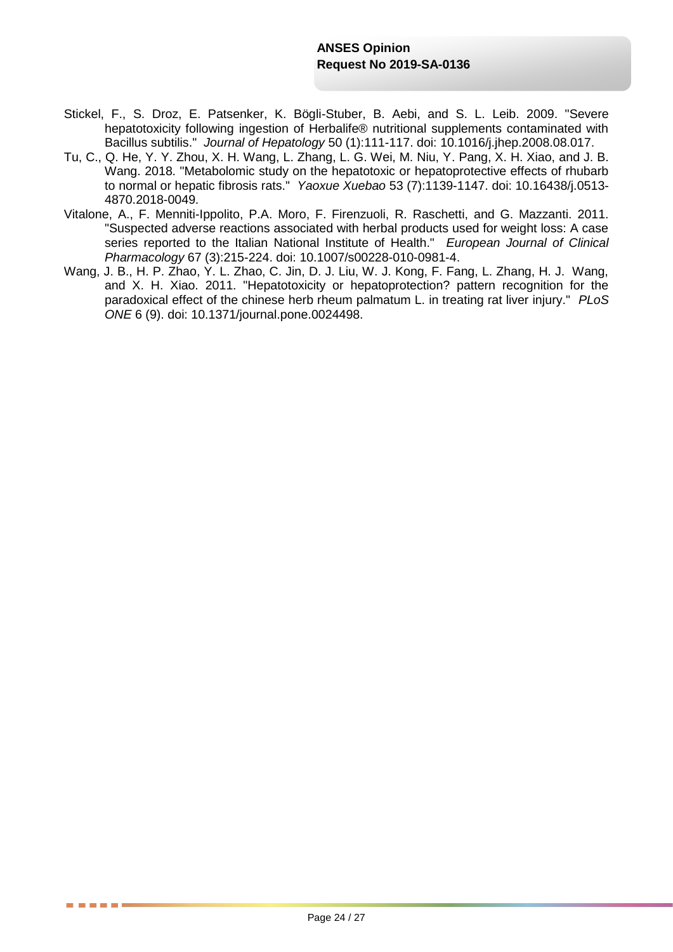- Stickel, F., S. Droz, E. Patsenker, K. Bögli-Stuber, B. Aebi, and S. L. Leib. 2009. "Severe hepatotoxicity following ingestion of Herbalife® nutritional supplements contaminated with Bacillus subtilis." *Journal of Hepatology* 50 (1):111-117. doi: 10.1016/j.jhep.2008.08.017.
- Tu, C., Q. He, Y. Y. Zhou, X. H. Wang, L. Zhang, L. G. Wei, M. Niu, Y. Pang, X. H. Xiao, and J. B. Wang. 2018. "Metabolomic study on the hepatotoxic or hepatoprotective effects of rhubarb to normal or hepatic fibrosis rats." *Yaoxue Xuebao* 53 (7):1139-1147. doi: 10.16438/j.0513- 4870.2018-0049.
- Vitalone, A., F. Menniti-Ippolito, P.A. Moro, F. Firenzuoli, R. Raschetti, and G. Mazzanti. 2011. "Suspected adverse reactions associated with herbal products used for weight loss: A case series reported to the Italian National Institute of Health." *European Journal of Clinical Pharmacology* 67 (3):215-224. doi: 10.1007/s00228-010-0981-4.
- Wang, J. B., H. P. Zhao, Y. L. Zhao, C. Jin, D. J. Liu, W. J. Kong, F. Fang, L. Zhang, H. J. Wang, and X. H. Xiao. 2011. "Hepatotoxicity or hepatoprotection? pattern recognition for the paradoxical effect of the chinese herb rheum palmatum L. in treating rat liver injury." *PLoS ONE* 6 (9). doi: 10.1371/journal.pone.0024498.

5 6 5 6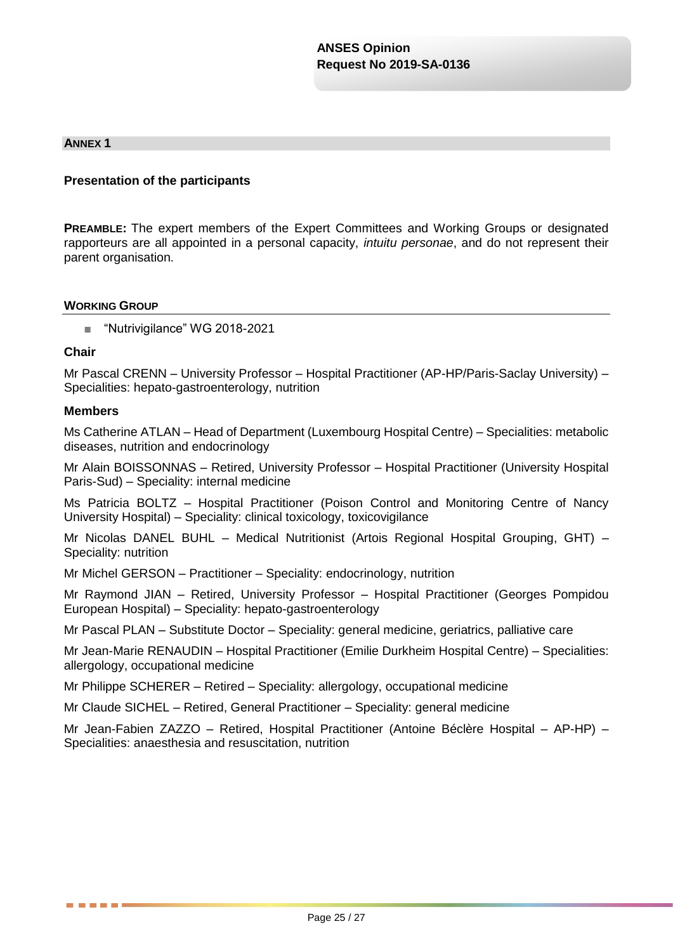#### **ANNEX 1**

### **Presentation of the participants**

**PREAMBLE:** The expert members of the Expert Committees and Working Groups or designated rapporteurs are all appointed in a personal capacity, *intuitu personae*, and do not represent their parent organisation.

#### **WORKING GROUP**

■ "Nutrivigilance" WG 2018-2021

#### **Chair**

Mr Pascal CRENN – University Professor – Hospital Practitioner (AP-HP/Paris-Saclay University) – Specialities: hepato-gastroenterology, nutrition

#### **Members**

. . . . .

Ms Catherine ATLAN – Head of Department (Luxembourg Hospital Centre) – Specialities: metabolic diseases, nutrition and endocrinology

Mr Alain BOISSONNAS – Retired, University Professor – Hospital Practitioner (University Hospital Paris-Sud) – Speciality: internal medicine

Ms Patricia BOLTZ – Hospital Practitioner (Poison Control and Monitoring Centre of Nancy University Hospital) – Speciality: clinical toxicology, toxicovigilance

Mr Nicolas DANEL BUHL – Medical Nutritionist (Artois Regional Hospital Grouping, GHT) – Speciality: nutrition

Mr Michel GERSON – Practitioner – Speciality: endocrinology, nutrition

Mr Raymond JIAN – Retired, University Professor – Hospital Practitioner (Georges Pompidou European Hospital) – Speciality: hepato-gastroenterology

Mr Pascal PLAN – Substitute Doctor – Speciality: general medicine, geriatrics, palliative care

Mr Jean-Marie RENAUDIN – Hospital Practitioner (Emilie Durkheim Hospital Centre) – Specialities: allergology, occupational medicine

Mr Philippe SCHERER – Retired – Speciality: allergology, occupational medicine

Mr Claude SICHEL – Retired, General Practitioner – Speciality: general medicine

Mr Jean-Fabien ZAZZO – Retired, Hospital Practitioner (Antoine Béclère Hospital – AP-HP) – Specialities: anaesthesia and resuscitation, nutrition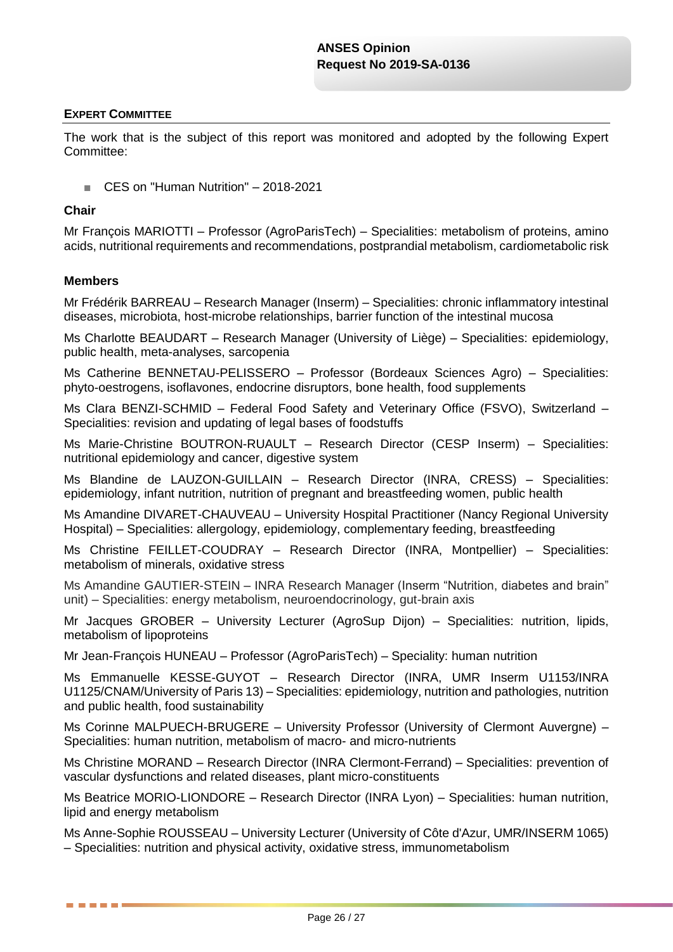### **EXPERT COMMITTEE**

The work that is the subject of this report was monitored and adopted by the following Expert Committee:

■ CES on "Human Nutrition" – 2018-2021

### **Chair**

Mr François MARIOTTI – Professor (AgroParisTech) – Specialities: metabolism of proteins, amino acids, nutritional requirements and recommendations, postprandial metabolism, cardiometabolic risk

### **Members**

------

Mr Frédérik BARREAU – Research Manager (Inserm) – Specialities: chronic inflammatory intestinal diseases, microbiota, host-microbe relationships, barrier function of the intestinal mucosa

Ms Charlotte BEAUDART – Research Manager (University of Liège) – Specialities: epidemiology, public health, meta-analyses, sarcopenia

Ms Catherine BENNETAU-PELISSERO – Professor (Bordeaux Sciences Agro) – Specialities: phyto-oestrogens, isoflavones, endocrine disruptors, bone health, food supplements

Ms Clara BENZI-SCHMID – Federal Food Safety and Veterinary Office (FSVO), Switzerland – Specialities: revision and updating of legal bases of foodstuffs

Ms Marie-Christine BOUTRON-RUAULT – Research Director (CESP Inserm) – Specialities: nutritional epidemiology and cancer, digestive system

Ms Blandine de LAUZON-GUILLAIN – Research Director (INRA, CRESS) – Specialities: epidemiology, infant nutrition, nutrition of pregnant and breastfeeding women, public health

Ms Amandine DIVARET-CHAUVEAU – University Hospital Practitioner (Nancy Regional University Hospital) – Specialities: allergology, epidemiology, complementary feeding, breastfeeding

Ms Christine FEILLET-COUDRAY – Research Director (INRA, Montpellier) – Specialities: metabolism of minerals, oxidative stress

Ms Amandine GAUTIER-STEIN – INRA Research Manager (Inserm "Nutrition, diabetes and brain" unit) – Specialities: energy metabolism, neuroendocrinology, gut-brain axis

Mr Jacques GROBER – University Lecturer (AgroSup Dijon) – Specialities: nutrition, lipids, metabolism of lipoproteins

Mr Jean-François HUNEAU – Professor (AgroParisTech) – Speciality: human nutrition

Ms Emmanuelle KESSE-GUYOT – Research Director (INRA, UMR Inserm U1153/INRA U1125/CNAM/University of Paris 13) – Specialities: epidemiology, nutrition and pathologies, nutrition and public health, food sustainability

Ms Corinne MALPUECH-BRUGERE – University Professor (University of Clermont Auvergne) – Specialities: human nutrition, metabolism of macro- and micro-nutrients

Ms Christine MORAND – Research Director (INRA Clermont-Ferrand) – Specialities: prevention of vascular dysfunctions and related diseases, plant micro-constituents

Ms Beatrice MORIO-LIONDORE – Research Director (INRA Lyon) – Specialities: human nutrition, lipid and energy metabolism

Ms Anne-Sophie ROUSSEAU – University Lecturer (University of Côte d'Azur, UMR/INSERM 1065) – Specialities: nutrition and physical activity, oxidative stress, immunometabolism